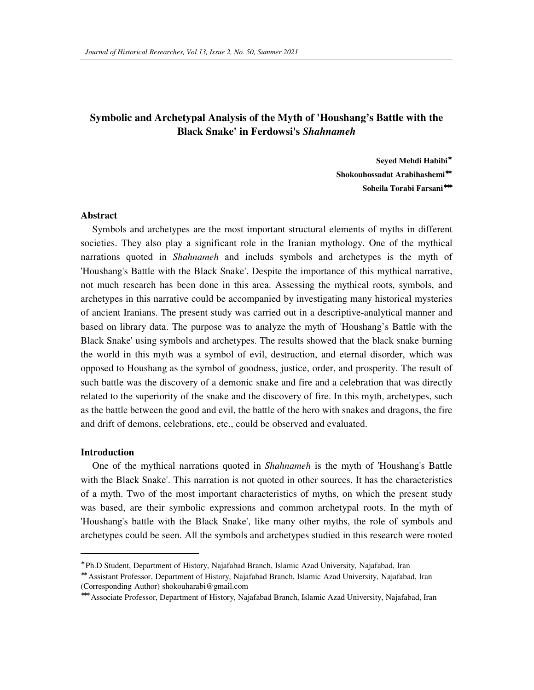# **Symbolic and Archetypal Analysis of the Myth of 'Houshang's Battle with the Black Snake' in Ferdowsi's** *Shahnameh*

**Seyed Mehdi Habibi**<sup>∗</sup> **Shokouhossadat Arabihashemi**∗∗ **Soheila Torabi Farsani**∗∗∗

#### **Abstract**

Symbols and archetypes are the most important structural elements of myths in different societies. They also play a significant role in the Iranian mythology. One of the mythical narrations quoted in *Shahnameh* and includs symbols and archetypes is the myth of 'Houshang's Battle with the Black Snake'. Despite the importance of this mythical narrative, not much research has been done in this area. Assessing the mythical roots, symbols, and archetypes in this narrative could be accompanied by investigating many historical mysteries of ancient Iranians. The present study was carried out in a descriptive-analytical manner and based on library data. The purpose was to analyze the myth of 'Houshang's Battle with the Black Snake' using symbols and archetypes. The results showed that the black snake burning the world in this myth was a symbol of evil, destruction, and eternal disorder, which was opposed to Houshang as the symbol of goodness, justice, order, and prosperity. The result of such battle was the discovery of a demonic snake and fire and a celebration that was directly related to the superiority of the snake and the discovery of fire. In this myth, archetypes, such as the battle between the good and evil, the battle of the hero with snakes and dragons, the fire and drift of demons, celebrations, etc., could be observed and evaluated.

#### **Introduction**

 $\ddot{ }$ 

One of the mythical narrations quoted in *Shahnameh* is the myth of 'Houshang's Battle with the Black Snake'. This narration is not quoted in other sources. It has the characteristics of a myth. Two of the most important characteristics of myths, on which the present study was based, are their symbolic expressions and common archetypal roots. In the myth of 'Houshang's battle with the Black Snake', like many other myths, the role of symbols and archetypes could be seen. All the symbols and archetypes studied in this research were rooted

<sup>∗</sup> Ph.D Student, Department of History, Najafabad Branch, Islamic Azad University, Najafabad, Iran

<sup>∗∗</sup> Assistant Professor, Department of History, Najafabad Branch, Islamic Azad University, Najafabad, Iran (Corresponding Author) shokouharabi@gmail.com

<sup>∗∗∗</sup> Associate Professor, Department of History, Najafabad Branch, Islamic Azad University, Najafabad, Iran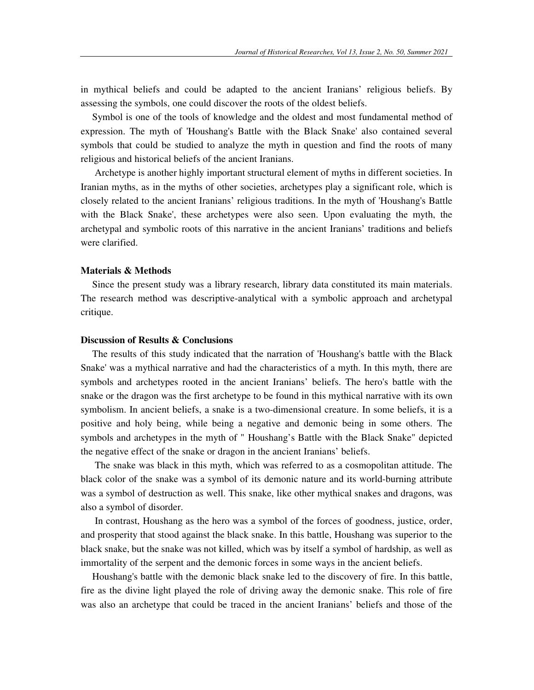in mythical beliefs and could be adapted to the ancient Iranians' religious beliefs. By assessing the symbols, one could discover the roots of the oldest beliefs.

Symbol is one of the tools of knowledge and the oldest and most fundamental method of expression. The myth of 'Houshang's Battle with the Black Snake' also contained several symbols that could be studied to analyze the myth in question and find the roots of many religious and historical beliefs of the ancient Iranians.

 Archetype is another highly important structural element of myths in different societies. In Iranian myths, as in the myths of other societies, archetypes play a significant role, which is closely related to the ancient Iranians' religious traditions. In the myth of 'Houshang's Battle with the Black Snake', these archetypes were also seen. Upon evaluating the myth, the archetypal and symbolic roots of this narrative in the ancient Iranians' traditions and beliefs were clarified.

## **Materials & Methods**

Since the present study was a library research, library data constituted its main materials. The research method was descriptive-analytical with a symbolic approach and archetypal critique.

### **Discussion of Results & Conclusions**

The results of this study indicated that the narration of 'Houshang's battle with the Black Snake' was a mythical narrative and had the characteristics of a myth. In this myth, there are symbols and archetypes rooted in the ancient Iranians' beliefs. The hero's battle with the snake or the dragon was the first archetype to be found in this mythical narrative with its own symbolism. In ancient beliefs, a snake is a two-dimensional creature. In some beliefs, it is a positive and holy being, while being a negative and demonic being in some others. The symbols and archetypes in the myth of " Houshang's Battle with the Black Snake" depicted the negative effect of the snake or dragon in the ancient Iranians' beliefs.

 The snake was black in this myth, which was referred to as a cosmopolitan attitude. The black color of the snake was a symbol of its demonic nature and its world-burning attribute was a symbol of destruction as well. This snake, like other mythical snakes and dragons, was also a symbol of disorder.

 In contrast, Houshang as the hero was a symbol of the forces of goodness, justice, order, and prosperity that stood against the black snake. In this battle, Houshang was superior to the black snake, but the snake was not killed, which was by itself a symbol of hardship, as well as immortality of the serpent and the demonic forces in some ways in the ancient beliefs.

Houshang's battle with the demonic black snake led to the discovery of fire. In this battle, fire as the divine light played the role of driving away the demonic snake. This role of fire was also an archetype that could be traced in the ancient Iranians' beliefs and those of the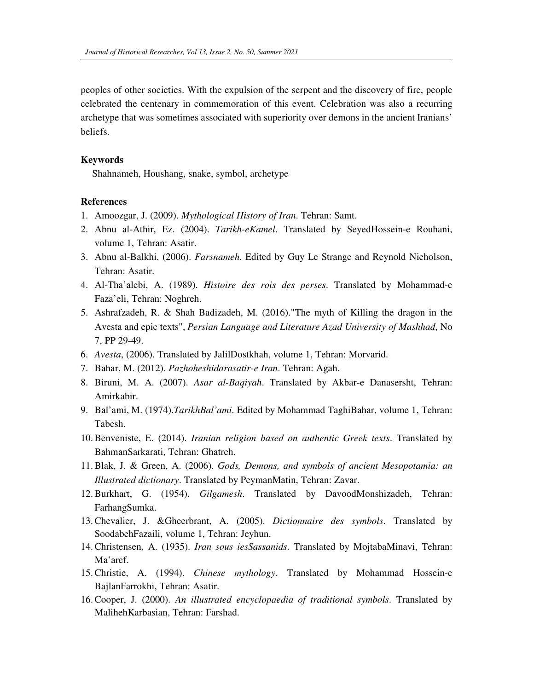peoples of other societies. With the expulsion of the serpent and the discovery of fire, people celebrated the centenary in commemoration of this event. Celebration was also a recurring archetype that was sometimes associated with superiority over demons in the ancient Iranians' beliefs.

### **Keywords**

Shahnameh, Houshang, snake, symbol, archetype

### **References**

- 1. Amoozgar, J. (2009). *Mythological History of Iran*. Tehran: Samt.
- 2. Abnu al-Athir, Ez. (2004). *Tarikh-eKamel*. Translated by SeyedHossein-e Rouhani, volume 1, Tehran: Asatir.
- 3. Abnu al-Balkhi, (2006). *Farsnameh*. Edited by Guy Le Strange and Reynold Nicholson, Tehran: Asatir.
- 4. Al-Tha'alebi, A. (1989). *Histoire des rois des perses*. Translated by Mohammad-e Faza'eli, Tehran: Noghreh.
- 5. Ashrafzadeh, R. & Shah Badizadeh, M. (2016)."The myth of Killing the dragon in the Avesta and epic texts", *Persian Language and Literature Azad University of Mashhad*, No 7, PP 29-49.
- 6. *Avesta*, (2006). Translated by JalilDostkhah, volume 1, Tehran: Morvarid.
- 7. Bahar, M. (2012). *Pazhoheshidarasatir-e Iran*. Tehran: Agah.
- 8. Biruni, M. A. (2007). *Asar al-Baqiyah*. Translated by Akbar-e Danasersht, Tehran: Amirkabir.
- 9. Bal'ami, M. (1974).*TarikhBal'ami*. Edited by Mohammad TaghiBahar, volume 1, Tehran: Tabesh.
- 10.Benveniste, E. (2014). *Iranian religion based on authentic Greek texts*. Translated by BahmanSarkarati, Tehran: Ghatreh.
- 11.Blak, J. & Green, A. (2006). *Gods, Demons, and symbols of ancient Mesopotamia: an Illustrated dictionary*. Translated by PeymanMatin, Tehran: Zavar.
- 12.Burkhart, G. (1954). *Gilgamesh*. Translated by DavoodMonshizadeh, Tehran: FarhangSumka.
- 13.Chevalier, J. &Gheerbrant, A. (2005). *Dictionnaire des symbols*. Translated by SoodabehFazaili, volume 1, Tehran: Jeyhun.
- 14.Christensen, A. (1935). *Iran sous iesSassanids*. Translated by MojtabaMinavi, Tehran: Ma'aref.
- 15.Christie, A. (1994). *Chinese mythology*. Translated by Mohammad Hossein-e BajlanFarrokhi, Tehran: Asatir.
- 16.Cooper, J. (2000). *An illustrated encyclopaedia of traditional symbols*. Translated by MalihehKarbasian, Tehran: Farshad.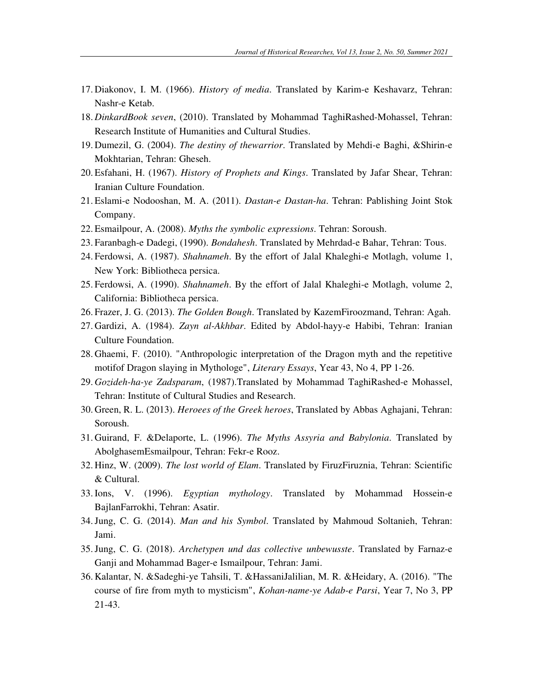- 17. Diakonov, I. M. (1966). *History of media*. Translated by Karim-e Keshavarz, Tehran: Nashr-e Ketab.
- 18. *DinkardBook seven*, (2010). Translated by Mohammad TaghiRashed-Mohassel, Tehran: Research Institute of Humanities and Cultural Studies.
- 19. Dumezil, G. (2004). *The destiny of thewarrior*. Translated by Mehdi-e Baghi, &Shirin-e Mokhtarian, Tehran: Gheseh.
- 20. Esfahani, H. (1967). *History of Prophets and Kings*. Translated by Jafar Shear, Tehran: Iranian Culture Foundation.
- 21. Eslami-e Nodooshan, M. A. (2011). *Dastan-e Dastan-ha*. Tehran: Pablishing Joint Stok Company.
- 22. Esmailpour, A. (2008). *Myths the symbolic expressions*. Tehran: Soroush.
- 23. Faranbagh-e Dadegi, (1990). *Bondahesh*. Translated by Mehrdad-e Bahar, Tehran: Tous.
- 24. Ferdowsi, A. (1987). *Shahnameh*. By the effort of Jalal Khaleghi-e Motlagh, volume 1, New York: Bibliotheca persica.
- 25. Ferdowsi, A. (1990). *Shahnameh*. By the effort of Jalal Khaleghi-e Motlagh, volume 2, California: Bibliotheca persica.
- 26. Frazer, J. G. (2013). *The Golden Bough*. Translated by KazemFiroozmand, Tehran: Agah.
- 27. Gardizi, A. (1984). *Zayn al-Akhbar*. Edited by Abdol-hayy-e Habibi, Tehran: Iranian Culture Foundation.
- 28. Ghaemi, F. (2010). "Anthropologic interpretation of the Dragon myth and the repetitive motifof Dragon slaying in Mythologe", *Literary Essays*, Year 43, No 4, PP 1-26.
- 29. *Gozideh-ha-ye Zadsparam*, (1987).Translated by Mohammad TaghiRashed-e Mohassel, Tehran: Institute of Cultural Studies and Research.
- 30. Green, R. L. (2013). *Heroees of the Greek heroes*, Translated by Abbas Aghajani, Tehran: Soroush.
- 31. Guirand, F. &Delaporte, L. (1996). *The Myths Assyria and Babylonia*. Translated by AbolghasemEsmailpour, Tehran: Fekr-e Rooz.
- 32. Hinz, W. (2009). *The lost world of Elam*. Translated by FiruzFiruznia, Tehran: Scientific & Cultural.
- 33.Ions, V. (1996). *Egyptian mythology*. Translated by Mohammad Hossein-e BajlanFarrokhi, Tehran: Asatir.
- 34.Jung, C. G. (2014). *Man and his Symbol*. Translated by Mahmoud Soltanieh, Tehran: Jami.
- 35.Jung, C. G. (2018). *Archetypen und das collective unbewusste*. Translated by Farnaz-e Ganji and Mohammad Bager-e Ismailpour, Tehran: Jami.
- 36. Kalantar, N. &Sadeghi-ye Tahsili, T. &HassaniJalilian, M. R. &Heidary, A. (2016). "The course of fire from myth to mysticism", *Kohan-name-ye Adab-e Parsi*, Year 7, No 3, PP 21-43.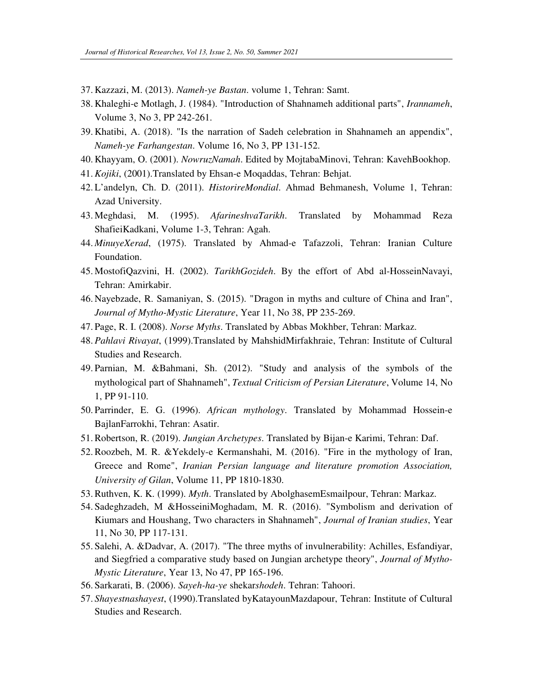- 37. Kazzazi, M. (2013). *Nameh-ye Bastan*. volume 1, Tehran: Samt.
- 38. Khaleghi-e Motlagh, J. (1984). "Introduction of Shahnameh additional parts", *Irannameh*, Volume 3, No 3, PP 242-261.
- 39. Khatibi, A. (2018). "Is the narration of Sadeh celebration in Shahnameh an appendix", *Nameh-ye Farhangestan*. Volume 16, No 3, PP 131-152.
- 40. Khayyam, O. (2001). *NowruzNamah*. Edited by MojtabaMinovi, Tehran: KavehBookhop.
- 41.*Kojiki*, (2001).Translated by Ehsan-e Moqaddas, Tehran: Behjat.
- 42. L'andelyn, Ch. D. (2011). *HistorireMondial*. Ahmad Behmanesh, Volume 1, Tehran: Azad University.
- 43. Meghdasi, M. (1995). *AfarineshvaTarikh*. Translated by Mohammad Reza ShafieiKadkani, Volume 1-3, Tehran: Agah.
- 44. *MinuyeXerad*, (1975). Translated by Ahmad-e Tafazzoli, Tehran: Iranian Culture Foundation.
- 45. MostofiQazvini, H. (2002). *TarikhGozideh*. By the effort of Abd al-HosseinNavayi, Tehran: Amirkabir.
- 46. Nayebzade, R. Samaniyan, S. (2015). "Dragon in myths and culture of China and Iran", *Journal of Mytho-Mystic Literature*, Year 11, No 38, PP 235-269.
- 47. Page, R. I. (2008). *Norse Myths*. Translated by Abbas Mokhber, Tehran: Markaz.
- 48. *Pahlavi Rivayat*, (1999).Translated by MahshidMirfakhraie, Tehran: Institute of Cultural Studies and Research.
- 49. Parnian, M. &Bahmani, Sh. (2012). "Study and analysis of the symbols of the mythological part of Shahnameh", *Textual Criticism of Persian Literature*, Volume 14, No 1, PP 91-110.
- 50. Parrinder, E. G. (1996). *African mythology*. Translated by Mohammad Hossein-e BajlanFarrokhi, Tehran: Asatir.
- 51.Robertson, R. (2019). *Jungian Archetypes*. Translated by Bijan-e Karimi, Tehran: Daf.
- 52.Roozbeh, M. R. &Yekdely-e Kermanshahi, M. (2016). "Fire in the mythology of Iran, Greece and Rome", *Iranian Persian language and literature promotion Association, University of Gilan*, Volume 11, PP 1810-1830.
- 53.Ruthven, K. K. (1999). *Myth*. Translated by AbolghasemEsmailpour, Tehran: Markaz.
- 54. Sadeghzadeh, M &HosseiniMoghadam, M. R. (2016). "Symbolism and derivation of Kiumars and Houshang, Two characters in Shahnameh", *Journal of Iranian studies*, Year 11, No 30, PP 117-131.
- 55. Salehi, A. &Dadvar, A. (2017). "The three myths of invulnerability: Achilles, Esfandiyar, and Siegfried a comparative study based on Jungian archetype theory", *Journal of Mytho-Mystic Literature*, Year 13, No 47, PP 165-196.
- 56. Sarkarati, B. (2006). *Sayeh-ha-ye* shekar*shodeh*. Tehran: Tahoori.
- 57. *Shayestnashayest*, (1990).Translated byKatayounMazdapour, Tehran: Institute of Cultural Studies and Research.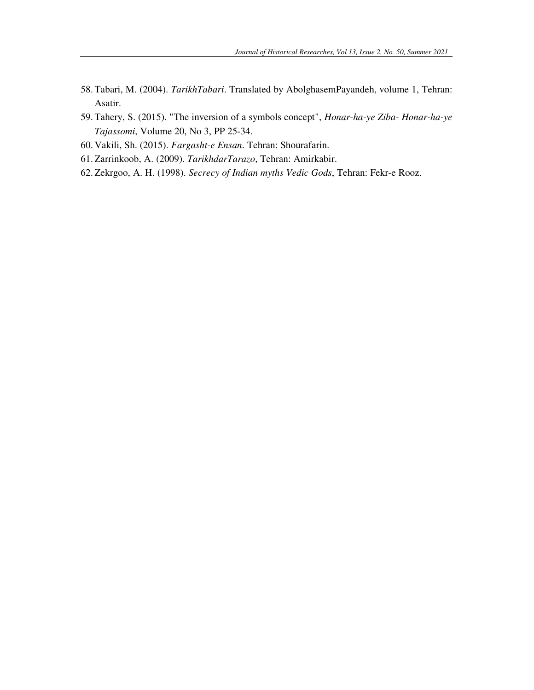- 58. Tabari, M. (2004). *TarikhTabari*. Translated by AbolghasemPayandeh, volume 1, Tehran: Asatir.
- 59. Tahery, S. (2015). "The inversion of a symbols concept", *Honar-ha-ye Ziba- Honar-ha-ye Tajassomi*, Volume 20, No 3, PP 25-34.
- 60. Vakili, Sh. (2015). *Fargasht-e Ensan*. Tehran: Shourafarin.
- 61. Zarrinkoob, A. (2009). *TarikhdarTarazo*, Tehran: Amirkabir.
- 62. Zekrgoo, A. H. (1998). *Secrecy of Indian myths Vedic Gods*, Tehran: Fekr-e Rooz.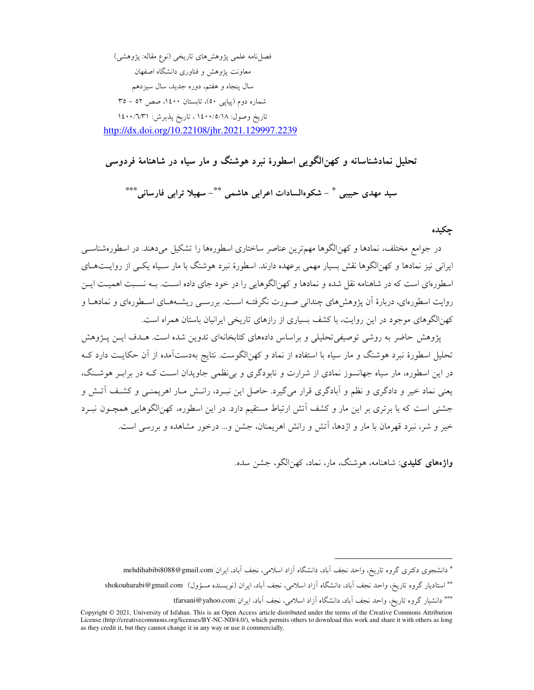فصل نامه علمي پژوهشهاي تاريخي (نوع مقاله: پژوهشي) معاونت یژوهش و فناوری دانشگاه اصفهان سال پنجاه و هفتم، دوره جدید، سال سیزدهم شماره دوم (پیاپی ٥٠)، تابستان ١٤٠٠، صص ٥٢ - ٣٥ تاريخ وصول: ١٤٠٠/٥/١٨، تاريخ پذيرش: ١٤٠٠/٦/٣١ http://dx.doi.org/10.22108/jhr.2021.129997.2239

تحلیل نمادشناسانه و کهنالگویی اسطورهٔ نبرد هوشنگ و مار سیاه در شاهنامهٔ فردوسی

سيد مهدي حبيبي \* - شكوهالسادات اعرابي هاشمي \*\*- سهيلا ترابي فارساني\*\*\*

چکیده

در جوامع مختلف، نمادها و کهنالگوها مهمترین عناصر ساختاری اسطورهها را تشکیل میدهند. در اسطورهشناسـی ایرانی نیز نمادها و کهنالگوها نقش بسیار مهمی برعهده دارند. اسطورهٔ نبرد هوشنگ با مار سـیاه یکـی از روایــتـهــای اسطورهای است که در شاهنامه نقل شده و نمادها و کهنالگوهایی را در خود جای داده است. بــه نســبت اهمیــت ایــن روایت اسطورهای، دربارهٔ آن پژوهشهای چندانی صـورت نگرفتـه اسـت. بررسـی ریشــههــای اسـطورهای و نمادهــا و کهنالگوهای موجود در این روایت، با کشف بسیاری از رازهای تاریخی ایرانیان باستان همراه است.

پژوهش حاضر به روشی توصیفی تحلیلی و براساس دادههای کتابخانهای تدوین شده است. هـدف ایــن پــژوهش تحلیل اسطورهٔ نبرد هوشنگ و مار سیاه با استفاده از نماد و کهن|لگوست. نتایج بهدستآمده از آن حکایـت دارد کـه در این اسطوره، مار سیاه جهانسوز نمادی از شرارت و نابودگری و بی نظمی جاویدان اسـت کــه در برابـر هوشــنگ، یعنی نماد خیر و دادگری و نظم و آبادگری قرار میگیرد. حاصل این نبـرد، رانـش مـار اهریمنــی و کشـف آتـش و جشنی است که با برتری بر این مار و کشف آتش ارتباط مستقیم دارد. در این اسطوره، کهنالگوهایی همچـون نبـرد خیر و شر، نبرد قهرمان با مار و اژدها، آتش و رانش اهریمنان، جشن و… درخور مشاهده و بررسی است.

واژههای کلیدی: شاهنامه، هوشنگ، مار، نماد، کهن الگو، جشن سده.

<sup>\*</sup> دانشجوی دکتری گروه تاریخ، واحد نجف اّباد، دانشگاه اّزاد اسلامی، نجف اّباد، ایران mehdihabibi8088@gmail.com

<sup>\*\*</sup> استادیار گروه تاریخ، واحد نجف آباد، دانشگاه آزاد اسلامی، نجف آباد، ایران (نویسنده مسؤول) shokouharabi@gmail.com

<sup>\*\*\*</sup> دانشیار گروه تاریخ، واحد نجف اّباد، دانشگاه اّزاد اسلامی، نجف اّباد، ایران tfarsani@yahoo.com

Copyright © 2021, University of Isfahan. This is an Open Access article distributed under the terms of the Creative Commons Attribution<br>License (http://creativecommons.org/licenses/BY-NC-ND/4.0/), which permits others to d as they credit it, but they cannot change it in any way or use it commercially.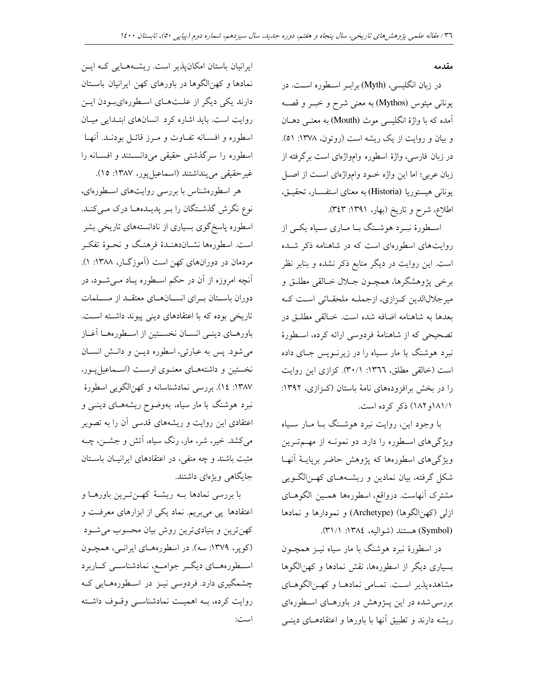#### مقدمه

در زبان انگلیسی، (Myth) برابـر اسـطوره اسـت. در یونانی میتوس (Mythos) به معنی شرح و خبـر و قصــه آمده که با واژهٔ انگلیسی موث (Mouth) به معنـی دهـان و بیان و روایت از یک ریشه است (روتون، ۱۳۷۸: ٥١). در زبان فارسی، واژهٔ اسطوره وامواژهای است برگرفته از زبان عربی؛ اما این واژه خـود وامواژهای اسـت از اصـل يوناني هيستوريا (Historia) به معناي استفســار، تحقيــق، اطلاع، شرح و تاریخ (بهار، ۱۳۹۱: ۳٤٣).

اسطورهٔ نبـرد هوشـنگ بـا مــاری سـياه يکــی از روایتهای اسطورهای است که در شاهنامه ذکر شده است. این روایت در دیگر منابع ذکر نشده و بنابر نظر برخي پژوهشگرها، همچـون جــلال خــالقي مطلــق و میرجلال الدین کـزازی، ازجملـه ملحقـاتی اسـت کـه بعدها به شاهنامه اضافه شده است. خـالقى مطلــق در تصحیحی که از شاهنامهٔ فردوسی ارائه کرده، اسطورهٔ نبرد هوشنگ با مار سـیاه را در زیرنــویس جـای داده است (خالقی مطلق، ١٣٦٦: ٣٠/١). كزازی اين روايت را در بخش برافزودههای نامهٔ باستان (کـزازی، ۱۳۹۲: ١٨١/١/و ١٨٢) ذكر كرده است.

با وجود این، روایت نبرد هوشـنگ بـا مـار سـیاه ویژگیهای اسطوره را دارد. دو نمونـه از مهـمترین ویژگیهای اسطورهها که پژوهش حاضر برپایـهٔ آنهـا شکل گرفته، بیان نمادین و ریشـههـای کهـنالگـویی مشترک آنهاست. درواقع، اسطورهها هممین الگوهـای ازلی (کهن|الگوها) (Archetype) و نمودارها و نمادها (Symbol) هستند (شواليه، ١٣٨٤: ٣١/١).

در اسطورهٔ نبرد هوشنگ با مار سیاه نیــز همچــون بسیاری دیگر از اسطورهها، نقش نمادها و کهنالگوها مشاهده پذیر است. تمـامی نمادهـا و کهـنالگوهـای بررسی شده در این پـژوهش در باورهـای اسـطورهای ریشه دارند و تطبیق آنها با باورها و اعتقادهـای دینـی

ایرانیان باستان امکانپذیر است. ریشـههـایی کـه ایـن نمادها و کهنالگوها در باورهای کهن ایرانیان باستان دارند یکی دیگر از علـتهـای اسـطورهایبودن ایـن روایت است. باید اشاره کرد انسانهای ابتـدایی میـان اسطوره و افسـانه تفـاوت و مـرز قائـل بودنـد. آنهـا اسطوره را سرگذشتی حقیقی میدانســتند و افســانه را غير حقيقي مي ينداشتند (اسماعيل يور، ١٣٨٧: ١٥).

هر اسطورهشناس با بررسی روایتهای اسطورهای، نوع نگرش گذشتگان را بر پدیلدهها درک میکند. اسطوره پاسخگوی بسیاری از نادانستههای تاریخی بشر است. اسطورهها نشــاندهنـدهٔ فرهنـگ و نحـوهٔ تفکـر مردمان در دورانهای کهن است (آموزگار، ۱۳۸۸: ۱). آنچه امروزه از آن در حکم اسطوره یـاد مـیشــود، در دوران باستان بواي انسانهاي معتقلد از مسلمات تاریخی بوده که با اعتقادهای دینی پیوند داشته است. باورهـاي دينـي انسـان نخسـتين از اسـطورههـا أغـاز می شود. پس به عبارتی، اسطوره دیـن و دانـش انسـان نخستین و داشتههای معنوی اوست (اسماعیل پور، ۱۳۸۷: ۱٤). بررسی نمادشناسانه و کهنالگویی اسطورهٔ نبرد هوشنگ با مار سیاه، بهوضوح ریشههـای دینــی و اعتقادی این روایت و ریشههای قدسی آن را به تصویر میکشد. خیر، شر، مار، رنگ سیاه، آتش و جشــن، چــه مثبت باشند و چه منفی، در اعتقادهای ایرانیـان باسـتان جایگاهی ویژهای داشتند.

با بررسی نمادها بـه ریشـهٔ کهـنتـرین باورهـا و اعتقادها پی میبریم. نماد یکی از ابزارهای معرفت و کهنترین و بنیادیترین روش بیان محسوب می شود (کوپر، ۱۳۷۹: سه). در اسطورههای ایرانبی، همچون اسطورههــاي ديگــر جوامــع، نمادشناســي كــاربرد چشمگیری دارد. فردوسی نیــز در اســطورههــایی کــه روایت کرده، بــه اهمیــت نمادشناســی وقــوف داشــته است: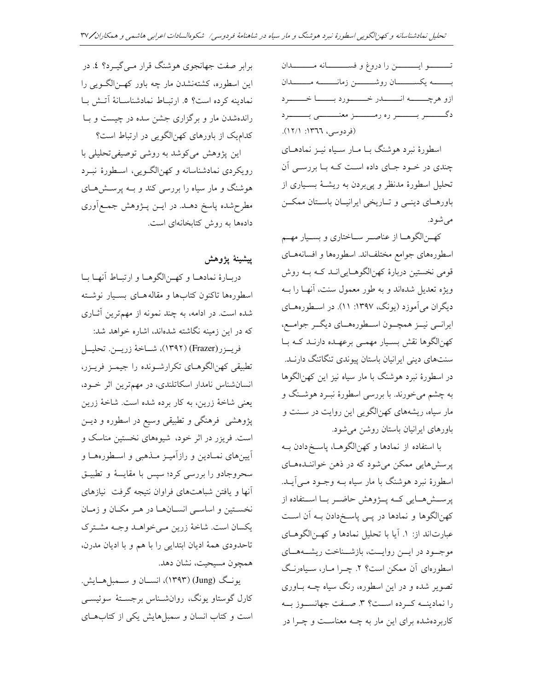تـــــوايـــــــــن را دروغ و فســـــــانه مــــــــدان بـــــــه يكســـــــان روشـــــــــن زمانــــــــه مــــــــدان ازو هرچــــــه انـــــــــدر خــــــــورد بـــــــا خــــــــرد (فردوسی، ١٣٦٦: ١٢/١).

اسطورهٔ نبرد هوشنگ بـا مـار سـياه نيــز نمادهـاي چندی در خود جای داده است کـه بـا بررسـی آن تحلیل اسطورهٔ مدنظر و پی بردن به ریشهٔ بسیاری از باورهای دینمی و تاریخی ایرانیان باستان ممکن مې شود.

كهــنالگوهــا از عناصــر ســاختاري و بســيار مهــم اسطورههای جوامع مختلفاند. اسطورهها و افسانههـای قومی نخستین دربارهٔ کهنالگوهـاییانـد کـه بـه روش ویژه تعدیل شدهاند و به طور معمول سنت، آنهـا را بــه دیگران می آموزد (یونگ، ۱۳۹۷: ۱۱). در اسطورههای ایرانسی نیــز همچــون اســطورههــای دیگــر جوامــع، کهنالگوها نقش بسیار مهمی برعهـده دارنـد کـه بـا سنتهای دینی ایرانیان باستان پیوندی تنگاتنگ دارنـد. در اسطورهٔ نبرد هوشنگ با مار سیاه نیز این کهن|لگوها به چشم میخورند. با بررسی اسطورهٔ نبـرد هوشـنگ و مار سیاه، ریشههای کهنالگویی این روایت در سـنت و باورهای ایرانیان باستان روشن می شود.

با استفاده از نمادها و کهنالگوهـا، پاسـخ دادن بــه پرسشهایی ممکن میشود که در ذهن خواننـدههـای اسطورهٔ نبرد هوشنگ با مار سیاه بـه وجـود مـی]یــد. پرسشهایی که پـژوهش حاضـر بـا اسـتفاده از کهنالگوها و نمادها در پـی پاسـخدادن بـه آن اسـت عبارتاند از: ۱. آیا با تحلیل نمادها و کهـنالگوهـای موجود در ایسن روایست، بازشناخت ریشههای اسطورهای آن ممکن است؟ ٢. چـرا مـار، سـياهرنـگ تصویر شده و در این اسطوره، رنگ سیاه چــه بــاوری را نمادینــه کـرده اســت؟ ٣. صـفت جهانســوز بــه کاربردهشده برای این مار به چـه معناسـت و چـرا در

برابر صفت جهانجوی هوشنگ قرار مــیگیــرد؟ ٤. در این اسطوره، کشتهنشدن مار چه باور که نالگ ویی را نمادينه كرده است؟ ٥. ارتباط نمادشناسانة آتش با راندهشدن مار و برگزاری جشن سده در چیست و بـا کدام یک از باورهای کهنالگویی در ارتباط است؟

این پژوهش میکوشد به روشی توصیفی تحلیلی با رویکردی نمادشناسانه و کهنالگویی، اسطورهٔ نبـرد هوشنگ و مار سیاه را بررسی کند و بـه پرسـشهـای مطرحشده پاسخ دهــد. در ايــن پــژوهش جمــع|َوري دادهها به روش كتابخانهاى است.

ييشينة يؤوهش

دربـارهٔ نمادهــا و کهــنالگوهــا و ارتبــاط أنهــا بــا اسطورهها تاكنون كتابها و مقالههاى بسيار نوشته شده است. در ادامه، به چند نمونه از مهمترین آثــاری که در این زمینه نگاشته شدهاند، اشاره خواهد شد:

فريــزر(Frazer) (١٣٩٢)، شــاخهٔ زريــن. تحليــل تطبیقی کهنالگوهـای تکرارشـونده را جیمـز فریـزر، انسانشناس نامدار اسکاتلندی، در مهمترین اثر خـود، يعني شاخهٔ زرين، به كار برده شده است. شاخهٔ زرين پژوهشی فرهنگی و تطبیقی وسیع در اسطوره و دیـن است. فریزر در اثر خود، شیوههای نخستین مناسک و آیینهای نمـادین و رازآمیـز مـذهبی و اسـطورههـا و سحروجادو را بررسی کرد؛ سپس با مقایسهٔ و تطبیــق آنها و یافتن شباهتهای فراوان نتیجه گرفت نیازهای نخستین و اساسی انسـانهـا در هـر مکـان و زمـان يكسان است. شاخهٔ زرين مي خواهـد وجـه مشـترك تاحدودي همهٔ اديان ابتدايي را با هم و با اديان مدرن، همجون مسيحيت، نشان دهد.

یونگ (Jung) (۱۳۹۳)، انسـان و ســمبلهـایش. کارل گوستاو یونگ، روانشــناس برجســتهٔ سوئیســی است و کتاب انسان و سمبلهایش یکی از کتابهای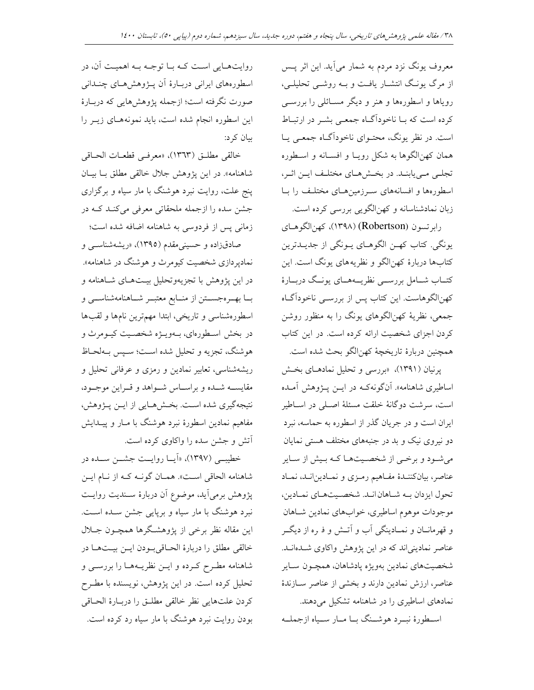معروف یونگ نزد مردم به شمار میآید. این اثر پس از مرگ یونگ انتشـار یافـت و بـه روشـی تحلیلـی، رویاها و اسطورهها و هنر و دیگر مسـائلی را بررسـی کرده است که بــا ناخودآگــاه جمعــی بشــر در ارتبــاط است. در نظر یونگ، محتـوای ناخوداًگـاه جمعـی یــا همان كهنالگوها به شكل رويـا و افســانه و اسـطوره تجلبي مي يابنـد. در بخـشهـاي مختلـف ايـن اثـر، اسطورهها و افسانههای سرزمینهای مختلف را با زبان نمادشناسانه و کهنالگویی بررسی کرده است.

رابرتسون (Robertson) (١٣٩٨)، كهن الكوهاي يونگي. كتاب كهـن الگوهـاي يـونگي از جديــدترين کتابها دربارهٔ کهنالگو و نظریههای یونگ است. این کتــاب شــامل بررســـي نظريــــهمــاي يونــگ دربــارهٔ کهنالگوهاست. این کتاب پس از بررسـی ناخودآگـاه جمعی، نظریهٔ کهنالگوهای یونگ را به منظور روشن كردن اجزاي شخصيت ارائه كرده است. در اين كتاب همچنين دربارهٔ تاريخچهٔ كهن|لگو بحث شده است.

پرنیان (۱۳۹۱)، «بررسی و تحلیل نمادهـای بخـش اساطیری شاهنامه». آنگونهکـه در ایــن پــژوهش آمــده است، سرشت دوگانهٔ خلقت مسئلهٔ اصـلی در اسـاطیر ایران است و در جریان گذر از اسطوره به حماسه، نبرد دو نیروی نیک و بد در جنبههای مختلف هستی نمایان می شود و برخی از شخصیتها کـه بـیش از سـایر عناصر، بيانكننـدۀ مفـاهيم رمـزي و نمـادينانـد، نمـاد تحول ایزدان بـه شـاهان انـد. شخصـیتهـای نمـادین، موجودات موهوم اساطيري، خوابهاي نمادين شـاهان و قهرمانان و نمـادینگی آب و آتـش و فـره از دیگـر عناصر نمادینی اند که در این پژوهش واکاوی شـدهانـد. شخصيتهاى نمادين بهويژه يادشاهان، همچـون سـاير عناصر، ارزش نمادین دارند و بخشی از عناصر سـازندهٔ نمادهای اساطیری را در شاهنامه تشکیل می دهند.

اسطورهٔ نب د هوشنگ با مبار سبیاه ازجملیه

روایتهـایی اسـت کـه بـا توجـه بـه اهمیـت آن، در اسطورههای ایرانی دربـارهٔ اَن پــژوهشهـای چنــدانی صورت نگرفته است؛ ازجمله پژوهشهایی که دربـارهٔ این اسطوره انجام شده است، باید نمونههای زیـر را ىيان كې د:

خالقي مطلـق (١٣٦٣)، «معرفـي قطعـات الحـاقي شاهنامه». در اين يژوهش جلال خالقي مطلق بــا بيــان پنج علت، روایت نبرد هوشنگ با مار سیاه و برگزاری جشن سده را ازجمله ملحقاتی معرفی میکند کـه در زمانی پس از فردوسی به شاهنامه اضافه شده است؛

صادقزاده و حسینی مقدم (۱۳۹۵)، «ریشهشناسبی و نماديردازي شخصيت كيومرث و هوشنگ در شاهنامه». در این پژوهش با تجزیهوتحلیل بیـتهـای شـاهنامه و بــا بهــرهجســتن از منــابع معتبــر شــاهنامهشناســي و اسطورهشناسی و تاریخی، ابتدا مهمترین نامها و لقبها در بخش اسطورهای، بـهویـژه شخصـیت کیـومرث و هوشنگ، تجزیه و تحلیل شده است؛ سـپس بـهلحـاظ ریشهشناسی، تعابیر نمادین و رمزی و عرفانی تحلیل و مقايســه شــده و براســاس شــواهد و قــراين موجــود، نتيجهگيري شده است. بخشهايي از ايـن پـژوهش، مفاهیم نمادین اسطورهٔ نبرد هوشنگ با مـار و پیـدایش آتش و جشن سده را واکاوی کرده است.

خطیب<sub>ی</sub> (۱۳۹۷)، «اَیــا روایــت جشــن ســده در شاهنامه الحاقي است». همـان گونـه كـه از نـام ايـن يژوهش برمي آيد، موضوع آن دربارهٔ سـنديت روايـت نبرد هوشنگ با مار سیاه و برپایی جشن سـده اسـت. این مقاله نظر برخی از پژوهشگرها همچـون جـلال خالقي مطلق را دربارة الحـاقىبودن ايـن بيـتهـا در شاهنامه مطـرح كـرده و ايــن نظريــههــا را بررســي و تحلیل کرده است. در این پژوهش، نویسنده با مطـرح كردن علتهايي نظر خالقي مطلـق را دربـارهٔ الحـاقي بودن روایت نبرد هوشنگ با مار سیاه رد کرده است.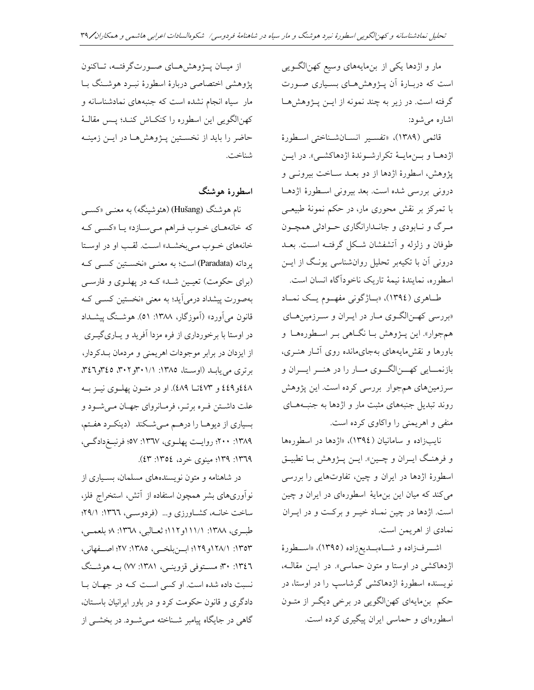مار و اژدها یکی از بن مایههای وسیع کهنالگویی است که دربـارهٔ آن پــژوهشهـای بسـیاری صــورت گرفته است. در زیر به چند نمونه از ایـن پـژوهشهـا اشاره می شود:

قائمي (١٣٨٩)، «تفسير انسان شناختي اسطورة اژدهـا و بـنمايــهٔ تكرارشــوندهٔ اژدهاكشــي». در ايـن پژوهش، اسطورهٔ اژدها از دو بعـد سـاخت بيرونــي و درونی بررسی شده است. بعد بیرونی اسطورهٔ اژدهـا با تمرکز بر نقش محوری مار، در حکم نمونهٔ طبیعـی مرگ و نـابودي و جانـدارانگاري حـوادثي همچـون طوفان و زلزله و آتشفشان شكل گرفتـه اسـت. بعـد درونی آن با تکیهبر تحلیل روانشناسی یونگ از ایـن اسطوره، نمايندهٔ نيمهٔ تاريک ناخودآگاه انسان است.

طاهري (١٣٩٤)، «باژگوني مفهـوم يـک نمـاد «بررسی که نالگوی مار در ایران و سرزمین های همجوار». این پـژوهش بـا نگـاهی بـر اسـطورههـا و باورها و نقش مایههای بهجای مانده روی آثـار هنـری، بازنمـايي كهــنالگــوي مــار را در هنــر ايــران و سرزمینهای همجوار بررسی کرده است. این پژوهش روند تبدیل جنبههای مثبت مار و اژدها به جنبههـای منفي و اهريمني را واكاوي كرده است.

نایبزاده و سامانیان (١٣٩٤)، «اژدها در اسطورهها و فرهنگ ايـران و چـين». ايـن پـژوهش بـا تطبيـق اسطورهٔ اژدها در ایران و چین، تفاوتهایی را بررسی می کند که میان این بن مایهٔ اسطورهای در ایران و چین است. اژدها در چین نمـاد خیـر و برکـت و در ایـران نمادي از اهريمن است.

اشرفزاده و شاهبدیعزاده (١٣٩٥)، «اسطورهٔ اژدهاکشی در اوستا و متون حماسی». در ایـن مقالـه، نویسنده اسطورهٔ اژدهاکشی گرشاسپ را در اوستا، در حکم بن مایهای کهنالگویی در برخی دیگر از متون اسطورهای و حماسی ایران پیگیری کرده است.

از میــان پـــژوهش،هــای صـــورتگرفتــه، تــاکنون پژوهشی اختصاصی دربارهٔ اسطورهٔ نبـرد هوشـنگ بـا مار سیاه انجام نشده است که جنبههای نمادشناسانه و كهنالگويي اين اسطوره را كنكـاش كنـد؛ پـس مقالـهٔ حاضر را باید از نخستین پـژوهشهـا در ایـن زمینـه شناخت.

اسطورهٔ هوشنگ

نام هوشنگ (Hušang) (هئوشینگه) به معنــی «کســی که خانههای خوب فراهم می سازد» یا «کسی که خانههای خـوب مـی بخشـد» اسـت. لقـب او در اوسـتا يرداته (Paradata) است؛ به معنى «نخستين كسبي كـه (برای حکومت) تعیمین شد» کـه در پهلـوی و فارسـی بهصورت پیشداد درمیآید؛ به معنی «نخستین کسبی کـه قانون مي آورد» (آموزگار، ١٣٨٨: ٥١). هوشـنگ پيشــداد در اوستا با برخورداری از فره مزدا آفرید و یـاریگیــری از ایزدان در برابر موجودات اهریمنی و مردمان بـدکردار، برتری می یابـد (اوسـتا، ١٣٨٥: ٠١/ ٣٠١و٣٠٢، ٢٤٦و٣٤٦، ٤٤٩ و ٤٤٩ و ٤٧٣ تا ٤٨٩). او در متون يهلـوي نيـز بـه علت داشتن فره برتر، فرمانرواي جهان مي شود و بسیاری از دیوهـا را درهـم مـیشـکند (دینکـرد هفـتم، ١٣٨٩: ٢٠٠؛ روايت پهلـوي، ١٣٦٧: ٥٧؛ فرنبــغ١دگــي، ١٣٦٩: ١٣٩٩؛ مينوي خرد، ١٣٥٤: ٤٣).

در شاهنامه و متون نویسندههای مسلمان، بسیاری از نوآوریهای بشر همچون استفاده از آتش، استخراج فلز، ساخت خانــه، كشــاورزي و... (فردوســي، ١٣٦٦: ٢٩/١؛ طبري، ١٣٨٨: ١١١/١و١١٢؛ ثعـالبي، ١٣٦٨: ٨؛ بلعمـي، ١٣٥٣: ١٢٨/١و ١٢٩؛ ابن بلخي، ١٣٨٥: ٢٧؛ اصفهاني، ١٣٤٦: ٣٠؛ مســتوفي قزوينــي، ١٣٨١: ٧٧) بــه هوشــنگ نسبت داده شده است. او کسی است کـه در جهـان بـا دادگری و قانون حکومت کرد و در باور ایرانیان باستان، گاهی در جایگاه پیامبر شـناخته مـیشـود. در بخشـی از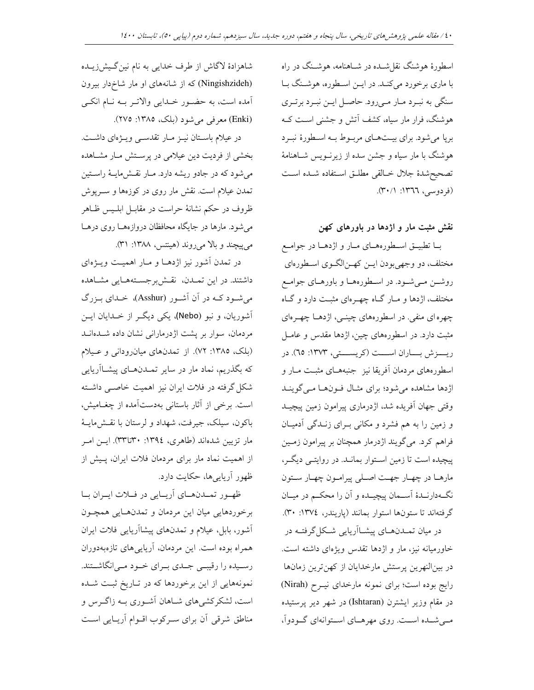اسطورهٔ هوشنگ نقل شـده در شـاهنامه، هوشـنگ در راه با ماري برخورد مي كنـد. در ايـن اسـطوره، هوشـنگ بـا سنگی به نبـرد مـار مـیرود. حاصـل ايـن نبـرد برتـري هوشنگ، فرار مار سیاه، کشف آتش و جشنی است ک برپا میشود. برای بیـتهـای مربـوط بـه اسـطورهٔ نبـرد هوشنگ با مار سیاه و جشن سده از زیرنــویس شــاهنامهٔ تصحيح شدة جلال خـالقى مطلـق اسـتفاده شـده اسـت (فردوسی، ١٣٦٦: ٣٠/١).

نقش مثبت مار و اژدها در باورهای کهن

بــا تطبيــق اســطورههــاي مــار و اژدهــا در جوامــع مختلف، دو وجهي بودن ايــن كهــن|لگــوي اســطورهاي روشـن مـیشـود. در اسـطورههـا و باورهـای جوامـع مختلف، اژدها و مـار گـاه چهـرهای مثبـت دارد و گـاه چهره ای منفی. در اسطورههای چینـی، اژدهــا چهــرهای مثبت دارد. در اسطورههای چین، اژدها مقدس و عامـل ريسزش بساران اسست (كريسستي، ١٣٧٣: ٦٥). در اسطورههای مردمان أفریقا نیز جنبههـای مثبـت مـار و اژدها مشاهده میشود؛ برای مثـال فـونهـا مـیگوینـد وقتی جهان آفریده شد، اژدرماری پیرامون زمین پیچیـد و زمین را به هم فشرد و مکانی بـرای زنـدگی آدمیـان فراهم کرد. میگویند اژدرمار همچنان بر پیرامون زمـین ییچیده است تا زمین استوار بمانـد. در روایتـی دیگـر، مارهـا در چهـار جهـت اصـلي پيرامـون چهـار سـتون نگـهدارنــدهٔ اســمان پیچیــده و اَن را محکــم در میــان گرفتهاند تا ستونها استوار بمانند (ياريندر، ١٣٧٤: ٣٠).

در میان تمـدنهـای پیشـااَریایی شـکلگرفتـه در خاورمیانه نیز، مار و اژدها تقدس ویژهای داشته است. در بینالنهرین پرستش مارخدایان از کهنترین زمانها رايج بوده است؛ براي نمونه مارخداي نيـرح (Nirah) در مقام وزیر ایشترن (Ishtaran) در شهر دیر پرستیده مهیشده است. روی مهرهای استوانهای گودوآ،

شاهزادهٔ لاگاش از طرف خدایی به نام نینگیشنزیــده (Ningishzideh) که از شانههای او مار شاخ دار بیرون أمده است، به حضـور خـدايي والاتـر بــه نــام انكــي (Enki) معرفی می شود (بلک، ۱۳۸۵: ۲۷۵).

در عیلام باستان نیـز مـار تقدسـی ویـژهای داشـت. بخشی از فردیت دین عیلامی در پرستش مـار مشـاهده می شود که در جادو ریشه دارد. مـار نقـش.ایـهٔ راسـتین تمدن عیلام است. نقش مار روی در کوزهها و سـرپوش ظروف در حکم نشانهٔ حراست در مقابـل ابلـیس ظـاهر می شود. مارها در جایگاه محافظان دروازههـا روی درهـا می پیچند و بالا می روند (هینتس، ۱۳۸۸: ۳۱).

در تمدن آشور نیز اژدهـا و مـار اهمیـت ویـژهای داشتند. در این تمـدن، نقـش برجسـتههـایی مشـاهده میشود کـه در آن آشـور (Asshur)، خـدای بـزرگ آشوریان، و نبو (Nebo)، یکی دیگر از خدایان ایـن مردمان، سوار بر پشت اژدرمارانی نشان داده شـدهانـد (بلک، ١٣٨٥: ٧٢). از تمدنهای میانرودانی و عیلام که بگذریم، نماد مار در سایر تمـدنهـای پیشـاآریایی شکل گرفته در فلات ایران نیز اهمیت خاصـی داشـته است. برخی از آثار باستانی بهدستآمده از چغـامیش، باکون، سیلک، جیرفت، شهداد و لرستان با نقشهایـهٔ مار تزیین شدهاند (طاهری، ۱۳۹٤: ۳۳تا۳۳). ایــن امــر از اهمیت نماد مار برای مردمان فلات ایران، پـیش از ظهور آریاییها، حکایت دارد.

ظهور تمدنهای آریایی در فلات ایران با برخوردهایی میان این مردمان و تمدنهایی همچون أشور، بابل، عيلام و تمدنهاي پيشاآريايي فلات ايران همراه بوده است. این مردمان، آریاییهای تازهبهدوران رسـیده را رقیبـی جـدی بـرای خـود مـی|نگاشـتند. نمونههایی از این برخوردها که در تـاریخ ثبـت شـده است، لشکرکشیهای شـاهان آشـوری بـه زاگـرس و مناطق شرقی آن برای سرکوب اقبوام آریبایی است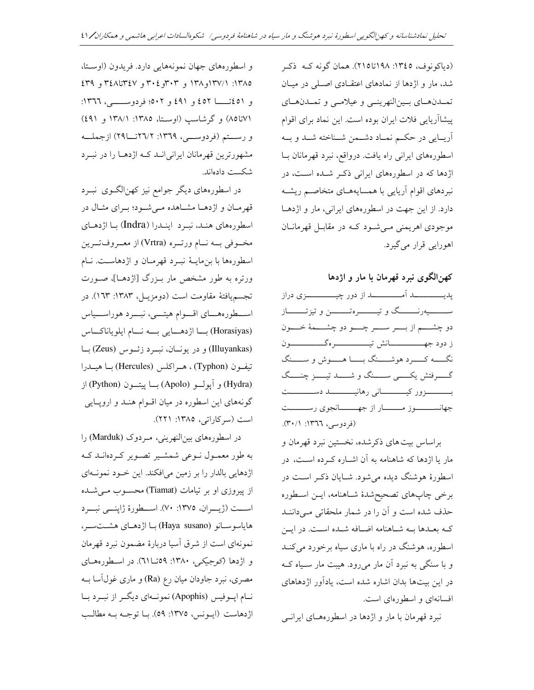(دياكونوف، ١٣٤٥: ١٩٨تا٢١٥). همان گونه كـه ذكـر شد، مار و اژدها از نمادهای اعتقـادی اصـلی در میـان تمدن هاي بين النهريني وعيلامي وتمدن هاي پیشاآریایی فلات ایران بوده است. این نماد برای اقوام آريــايي در حكــم نمــاد دشــمن شــناخته شــد و بــه اسطورههای ایرانی راه یافت. درواقع، نبرد قهرمانان بـا اژدها که در اسطورههای ایرانی ذکر شده است، در نبردهای اقوام آریایی با همسایههـای متخاصـم ریشـه دارد. از این جهت در اسطورههای ایرانی، مار و اژدهـا موجودي اهريمني مے شود کـه در مقابـل قهرمانـان اهورايي قرار مي گيرد.

کهن|لگوی نبرد قهرمان با مار و اژدها

ســــــــــيهرنـــــــــگ و تيـــــــــــرهتــــــــــــــــن و تيزتــــــــــاز دو چشـــــم از بــــــر ســــــر چــــــو دو چشــــــمهٔ خــــــون نگــــه كــــــرد هوشـــــنگ بـــــا هــــــوش و ســـــنگ گــــــــــرفتش يكــــــــى ســـــــنگ و شــــــــــد تيــــــــز چنـــــگ بــــــــــزور كيــــــــــــانى رهانيــــــــــــــد دســــــــــت جهانســــــوز مـــــــار از جهــــــانجوي رســـــــت (فردوسی، ١٣٦٦: ٣٠/١).

براساس بيت هاي ذكر شده، نخستين نبرد قهرمان و مار یا اژدها که شاهنامه به آن اشـاره کـرده اسـت، در اسطورهٔ هوشنگ دیده میشود. شـایان ذکـر اسـت در برخي چاپهاي تصحيح شدهٔ شـاهنامه، ايــن اسـطوره حذف شده است و آن را در شمار ملحقاتی می داننـد کـه بعـدها بـه شـاهنامه اضـافه شـده اسـت. در ايـن اسطوره، هوشنگ در راه با ماری سیاه برخورد میکند و با سنگی به نبرد آن مار میرود. هیبت مار سـیاه کـه در این بیتها بدان اشاره شده است، یادآور اژدهاهای افسانهای و اسطورهای است.

نبرد قهرمان با مار و اژدها در اسطورههای ایرانبی

و اسطورههای جهان نمونههایی دارد. فریدون (اوستا، ١٣٨٥: ١٣٧/١و١٣٨ و ٣٠٣و٢٠٤ و ٣٤٧تا١٤٢٨ و ٤٣٩ و ٤٥١تــــــا ٤٥٢ و ٤٩١ و ٥٠٢؛ فردوســــــــي، ١٣٦٦: ٧١تا٨٥) و گرشاسب (اوستا، ١٣٨٥: ١٣٨/١ و ٤٩١) و رستم (فردوسی، ١٣٦٩: ٢٦/٢تــــا٢٩) ازجملــه مشهورترین قهرمانان ایرانی انـد کـه اژدهـا را در نبـرد شكست دادهاند.

در اسطورههای دیگر جوامع نیز کهن|لگـوی نبــرد قهرمان و اژدهـا مشـاهده مـیشـود؛ بـرای مثـال در اسطورههای هنـد، نبـرد اینـدرا (Indra) بـا اژدهـای مخـوفي بــه نــام ورتــره (Vrtra) از معــروفتــرين اسطورهها با بن مايــهٔ نبــرد قهرمــان و اژدهاســت. نــام ورتره به طور مشخص مار بـزرگ [اژدهـا]، صـورت تجسم يافتهٔ مقاومت است (دومزيـل، ١٣٨٣: ١٦٣). در اســـطورههـــاي اقــــوام هيتــــي، نبــــرد هوراســــياس (Horasiyas) با اژدهايي به نام ايلوياناكاس (Illuyankas) و در یونسان، نبود زئوس (Zeus) با تيفون (Typhon) ، هـراكلس (Hercules) بـا هيــدرا (Hydra) و آيولو (Apolo) با يبتـون (Python) از گونههای این اسطوره در میان اقوام هنـد و اروپـایی است (سركاراتى، ١٣٨٥: ٢٢١).

در اسطورههای بین النهرینی، مردوک (Marduk) را به طور معمـول نــوعى شمشـير تصــوير كــردهانــد كــه اژدهایی بالدار را بر زمین میافکند. این خـود نمونـهای از پیروزی او بر تیامات (Tiamat) محسوب می شده است (ژیــران، ١٣٧٥: ٧٠). اســطورهٔ ژاپنـــی نبـــرد هاياسوســانو (Haya susano) بــا اژدهــاي هشــتســر، نمونهای است از شرق اسیا دربارهٔ مضمون نبرد قهرمان و اژدها (كوجيكي، ١٣٨٠: ٥٩تـــا٦١). در اسطورههاي مصری، نبرد جاودان میان رع (Ra) و ماری غولآسا بــه نــام اپــوفيس (Apophis) نمونــهاي ديگــر از نبــرد بــا اژدهاست (ايـونس، ١٣٧٥: ٥٩). بــا توجــه بــه مطالـب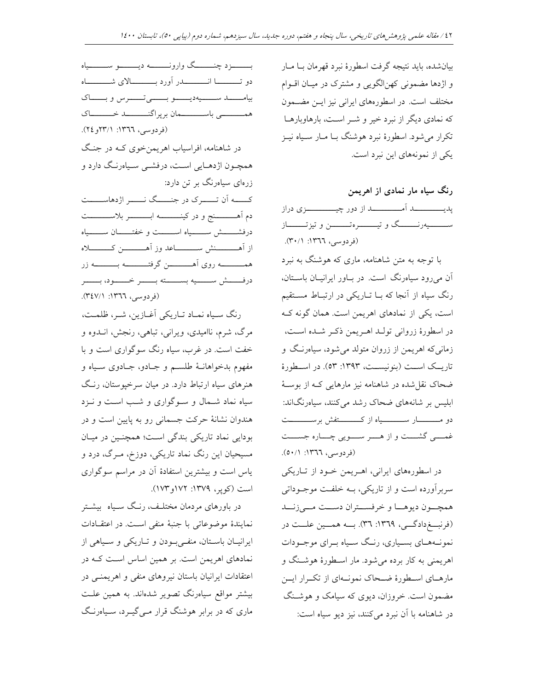بیان شده، باید نتیجه گرفت اسطورهٔ نبرد قهرمان بـا مـار و اژدها مضمونی کهنالگویی و مشترک در میـان اقــوام مختلف است. در اسطورههای ایرانی نیز ایــن مضــمون که نمادی دیگر از نبرد خیر و شــر اسـت، بارهاوبارهــا تکرار می شود. اسطورهٔ نبرد هوشنگ بــا مــار ســياه نيــز یکی از نمونههای این نبرد است.

رنگ سیاه مار نمادی از اهریمن ســــــــيهرنــــــــگ و تيــــــــــرهتــــــــــن و تيزتـــــــــاز (فردوسی، ١٣٦٦: ٣٠/١).

با توجه به متن شاهنامه، ماری که هوشنگ به نبرد آن می رود سیاهرنگ است. در باور ایرانیان باستان، رنگ سیاه از آنجا که بـا تـاریکی در ارتبـاط مسـتقیم است، یکی از نمادهای اهریمن است. همان گونه ک در اسطورهٔ زروانی تولـد اهـریمن ذکـر شـده اسـت، زمانی که اهریمن از زروان متولد می شود، سیاهرنگ و تاریــک اســت (بنونیســت، ۱۳۹۳: ۵۳). در اســطورهٔ ضحاک نقل شده در شاهنامه نیز مارهایی کـه از بوسـهٔ ابلیس بر شانههای ضحاک رشد میکنند، سیاهرنگاند: دو مــــــــــار ســـــــــــياه از كــــــــــتفش برســـــــــت غمسی گشست و از هسر سویی چساره جسست (فردوسی، ١٣٦٦: ٥٠/١).

در اسطورههای ایرانی، اهـریمن خـود از تـاریکی سربر آورده است و از تاریکی، بــه خلفــت موجــوداتی همچــون ديوهــا و خرفســتران دســت مــىزنـــد (فرنسغ دادگی، ١٣٦٩: ٣٦). به همسين علــت در نمونـههـاي بسـياري، رنـگ سـياه بـراي موجـودات اهریمنی به کار برده می شود. مار اسطورهٔ هوشـنگ و مارهـای اسـطورهٔ ضـحاک نمونـهای از تکـرار ایـن مضمون است. خروزان، دیوی که سیامک و هوشـنگ در شاهنامه با آن نبرد می کنند، نیز دیو سیاه است:

بيامـــــــــــد ســــــيه ديـــــــو بــــــــــوس وبـــــــاك همــــــــــى باســــــــــمان برپراگنـــــــــــــد خــــــــــاک (فردوسی، ١٣٦٦: ٢٢٣١و ٢٤). در شاهنامه، افراسیاب اهریمنخوی کـه در جنـگ همچـون اژدهـايي اسـت، درفشـي سـياهرنـگ دارد و زرهای سیاهرنگ بر تن دارد: کــــه اَن تـــــــرک در جنـــــگ نــــــــر اژدهاســـــت دم اَهــــــــــنج و در كينــــــــــــه ابـــــــــــــر بلاســـــــــت درفشـــــــش ســـــــياه اســــــت و خفتــــــان ســـــــياه از آهــــــــــنش ســـــــــــــاعد وز آهــــــــــــن كــــــــــــلاه همــــــــــه روى اَهـــــــــــن گرفتـــــــــــه بـــــــــــه زر درفــــــش ســـــــيه بســــــته بــــــر خــــــود، بــــــر (فردوسی، ١٣٦٦: ٣٤٧/١).

بـــــــــزد چنـــــــــگ وارونــــــــــه ديــــــــــو ســـــــــياه

رنگ سـياه نمـاد تـاريكي آغـازين، شـر، ظلمـت، مرگ، شرم، ناامیدی، ویرانی، تباهی، رنجش، انــدوه و خفت است. در غرب، سیاه رنگ سوگواری است و با مفهوم بدخواهانـهٔ طلسـم و جـادو، جـادوی سـياه و هنرهای سیاه ارتباط دارد. در میان سرخپوستان، رنگ سیاه نماد شـمال و سـوگواری و شـب اسـت و نـزد هندوان نشانهٔ حرکت جسمانی رو به پایین است و در بودایی نماد تاریکی بندگی است؛ همچنین در میان مسیحیان این رنگ نماد تاریکی، دوزخ، مـرگ، درد و یاس است و بیشترین استفادهٔ آن در مراسم سوگواری است (کویر، ۱۳۷۹: ۱۷۲و۱۷۳).

در باورهای مردمان مختلـف، رنـگ سـياه بيشـتر نمايندهٔ موضوعاتى با جنبهٔ منفى است. در اعتقادات ایرانیان باستان، منفی بودن و تباریکی و سبیاهی از نمادهای اهریمن است. بر همین اساس است کـه در اعتقادات ایرانیان باستان نیروهای منفی و اهریمنبی در بیشتر مواقع سیاهرنگ تصویر شدهاند. به همین علـت ماری که در برابر هوشنگ قرار مـیگیــرد، سـیاهرنـگ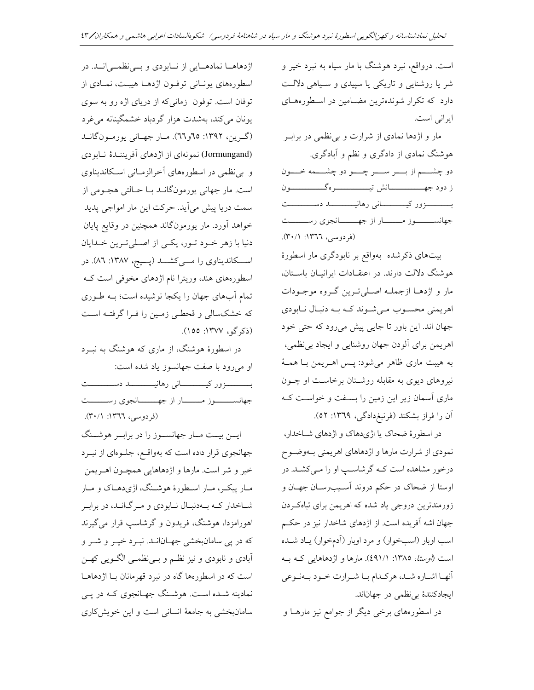است. درواقع، نبرد هوشنگ با مار سیاه به نبرد خیر و شر یا روشنایی و تاریکی یا سپیدی و سـیاهی دلالـت دارد که تکرار شوندهترین مضامین در اسطورههای ایرانی است.

مار و اژدها نمادی از شرارت و بی نظمی در براب هوشنگ نمادی از دادگری و نظم و آبادگری. دو چشــــم از بـــــر ســـــر چــــــو دو چشـــــمه خـــــون بــــــــــزور كيـــــــــــانى رهانيـــــــــــــــد دســــــــــت جهانســــــــوز مـــــــــار از جهــــــــانجوي رســــــــت (فردوسی، ١٣٦٦: ٣٠/١).

بیتهای ذکرشده بهواقع بر نابودگری مار اسطورهٔ هوشنگ دلالت دارند. در اعتقـادات ایرانیـان باسـتان، مار و اژدهـا ازجملـه اصـلي تـرين گـروه موجـودات اهریمنی محسوب میشوند که بـه دنبـال نـابودی جهان اند. این باور تا جایبی پیش می رود که حتی خود اهريمن براي آلودن جهان روشنايي و ايجاد بي نظمي، به هيبت ماري ظاهر مي شود: پس اهـريمن بـا همـهٔ نیروهای دیوی به مقابله روشـنان برخاسـت او چـون ماری آسمان زیر این زمین را بسفت و خواست ک آن را فراز بشکند (فرنبغدادگی، ۱۳٦۹: ٥٢).

در اسطورهٔ ضحاک یا اژیدهاک و اژدهای شـاخدار، نمودي از شرارت مارها و اژدهاهاي اهريمني بـهوضـوح درخور مشاهده است کـه گرشاسـب او را مـیکشـد. در اوستا از ضحاک در حکم دروند آسـیبرسـان جهـان و زورمندترین دروجی یاد شده که اهریمن برای تباهکردن جهان اشه آفریده است. از اژدهای شاخدار نیز در حکم اسب اوبار (اسبخوار) و مرد اوبار (آدمخوار) يـاد شـده است (ا*وستا، ١٣٨٥: ٤٩١/١).* مارها و اژدهاهايي كـه بـه آنهـا اشـاره شـد، هركـدام بـا شـرارت خـود بـهنـوعى ايجادكنندهٔ بي نظمى در جهان اند.

در اسطورههای برخی دیگر از جوامع نیز مارهــا و

اژدهاهـا نمادهـايي از نـابودي و بـينظمـيانــد. در اسطورههای یونـانی توفـون اژدهـا هیبـت، نمـادی از توفان است. توفون زمانیکه از دریای اژه رو به سوی یونان می کند، بهشدت هزار گردباد خشمگینانه می غرد (گرين، ١٣٩٢: ٦٥و٦٦). مار جهاني يورمون گانـد (Jormungand) نمو نهای از اژدهای آفریننـدهٔ نـابودی و بی نظمی در اسطورههای آخرالزمـانی اسـکاندیناوی است. مار جهانی یورمونگانـد بـا حـالتی هجـومی از سمت دریا پیش می آید. حرکت این مار امواجی پدید خواهد آورد. مار یورمونگاند همچنین در وقایع پایان دنیا با زهر خـود تـور، یکـی از اصـلیترین خـدایان اسکاندیناوی را مےکشد (پسیج، ۱۳۸۷: ۸٦). در اسطورههای هند، وریترا نام اژدهای مخوفی است ک تمام آبهای جهان را یکجا نوشیده است؛ بـه طـوری که خشکسالی و قحطبی زمین را فـرا گرفتـه اسـت (ذکر گو، ۱۳۷۷: ۱۵۵).

در اسطورهٔ هوشنگ، از ماری که هوشنگ به نبـرد او می رود با صفت جهانسوز یاد شده است: بـــــــــــزور كيــــــــــــانى رهانيـــــــــــــــــــــــــت جهانســــــــوز مــــــــار از جهــــــــانجوي رســــــــت (فردوسی، ١٣٦٦: ٣٠/١).

ایسن بیـت مـار جهانسـوز را در برابـر هوشــنگ جهانجوی قرار داده است که بهواقع، جلوهای از نبـرد خير و شر است. مارها و اژدهاهايي همچـون اهـريمن مـار پيکـر، مـار اسـطورهٔ هوشـنگ، اژيدهـاک و مـار شاخدار کـه بـهدنبـال نـابودي و مـرگانـد، در برابـر اهورامزدا، هوشنگ، فریدون و گرشاسپ قرار میگیرند که در پی سامانبخشی جهـانانـد. نبـرد خيـر و شـر و آبادی و نابودی و نیز نظـم و بـیiظمـی الگــویی کهــن است که در اسطورهها گاه در نبرد قهرمانان بـا اژدهاهـا نمادینه شـده اسـت. هوشـنگ جهـانجوی کـه در یــی سامانبخشی به جامعهٔ انسانی است و این خویشکاری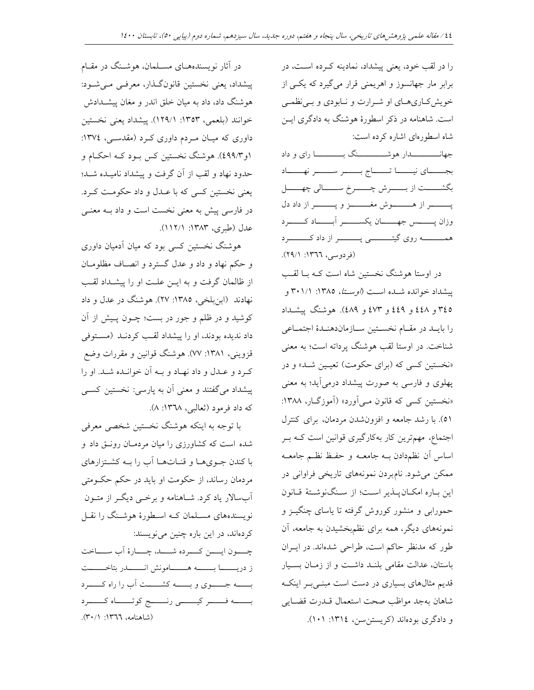را در لقب خود، یعنی پیشداد، نمادینه کـرده اسـت، در برابر مار جهانسوز و اهریمنی قرار میگیرد که یکسی از خویش کاریهای او شرارت و نـابودی و بـینظمـی است. شاهنامه در ذکر اسطورهٔ هوشنگ به دادگری ایــن شاه اسطورهای اشاره کرده است:

بجـــاي نيــــا تــــاج بــــر ســــر نهـــاد بگشسست از بسرش چسسرخ سسسالي چهسال پــــــــــــر از هـــــــــــــوش مغــــــــــــز و پــــــــــــر از داد دل همـــــــــه روی گیتــــــــــــی پـــــــــــــر از داد کـــــــــــرد (فردوسی، ١٣٦٦: ٢٩/١).

در اوستا هوشنگ نخستین شاه است کـه بــا لقـب پیشداد خوانده شـده اسـت (*اوسـتا*، ۱۳۸۵: ۲۰۱/۱ و ٢٤٥ و ٤٤٨ و ٤٤٩ و ٤٧٣ و ٤٨٩). هوشنگ پيشــداد را بايـد در مقـام نخسـتين سـازماندهنـدۀ اجتمـاعى شناخت. در اوستا لقب هوشنگ پرداته است؛ به معنی «نخستین کسی که (برای حکومت) تعیـین شـد» و در پهلوی و فارسی به صورت پیشداد درمیآید؛ به معنی «نخستین کسی که قانون مـی آورد» (آموزگـار، ۱۳۸۸: ٥١). با رشد جامعه و افزونشدن مردمان، برای کنترل اجتماع، مهمترین کار بهکارگیری قوانین است کـه بـر اساس أن نظم دادن بـه جامعــه و حفـظ نظــم جامعــه ممکن میشود. نامبردن نمونههای تاریخی فراوانی در اين باره امكان پلذير است؛ از سنگنوشتهٔ قانون حمورابی و منشور کوروش گرفته تا یاسای چنگیــز و نمونههای دیگر، همه برای نظمبخشیدن به جامعه، آن طور که مدنظر حاکم است، طراحی شدهاند. در ایـران باستان، عدالت مقامی بلنـد داشـت و از زمـان بسـيار قدیم مثالهای بسیاری در دست است مبنـیبر اینکـه شاهان بهجد مواظب صحت استعمال قــدرت قضـايي و دادگری بودهاند (کریستن سن)، ١٣١٤: ١٠١).

در آثار نویسندههـای مسـلمان، هوشـنگ در مقـام پیشداد، یعنی نخستین قانون گـذار، معرفـی مـیشـود: هوشنگ داد، داد به میان خلق اندر و مغان پیشــدادش خوانند (بلعمي، ١٣٥٣: ١٢٩/١). ييشداد يعني نخستين داوری که میان مردم داوری کرد (مقدسی، ۱۳۷٤: ۱و۹۹/۳)). هوشنگ نخستین کس بـود کـه احکـام و حدود نهاد و لقب از آن گرفت و پیشداد نامیــده شــد؛ يعني نخستين کسي که با عــدل و داد حکومـت کــرد. در فارسی پیش به معنی نخست است و داد بــه معنــی عدل (طبري، ١٣٨٣: ١١٢/١).

هوشنگ نخستین کسی بود که میان آدمیان داوری و حکم نهاد و داد و عدل گسترد و انصاف مظلومان از ظالمان گرفت و به ایـن علـت او را پیشـداد لقـب نهادند (ابن بلخي، ١٣٨٥: ٢٧). هوشنگ در عدل و داد کوشید و در ظلم و جور در بست؛ چــون پــیش از آن داد ندیده بودند، او را پیشداد لقب کردنـد (مسـتوفی قزوینی، ۱۳۸۱: ۷۷). هوشنگ قوانین و مقررات وضع كرد و عـدل و داد نهـاد و بـه آن خوانـده شـد. او را پیشداد میگفتند و معنی آن به پارسی: نخستین کسـی که داد فرمود (ثعالبی، ۱۳٦۸: ۸).

با توجه به اینکه هوشنگ نخستین شخصی معرفی شده است که کشاورزی را میان مردمـان رونـق داد و با کندن جویها و قناتها آب را بـه کشتزارهای مردمان رساند، از حکومت او باید در حکم حکـومتی ۔<br>اَبِسالار یاد کرد. شــاهنامه و برخــی دیگــر از متــون نویسندههای مسـلمان کـه اسـطورهٔ هوشـنگ را نقـل کردهاند، در این باره چنین می نویسند: چــــون ايـــــن كــــرده شـــــد، چـــــارهٔ اَب ســـــاخت 

بــــه جــــوى و بـــــه كشــــت أب را راه كـــــرد بسسه فسسر كيسسى رنسسج كوتسساه كسسرد (شاهنامه، ١٣٦٦: ٢٠/١).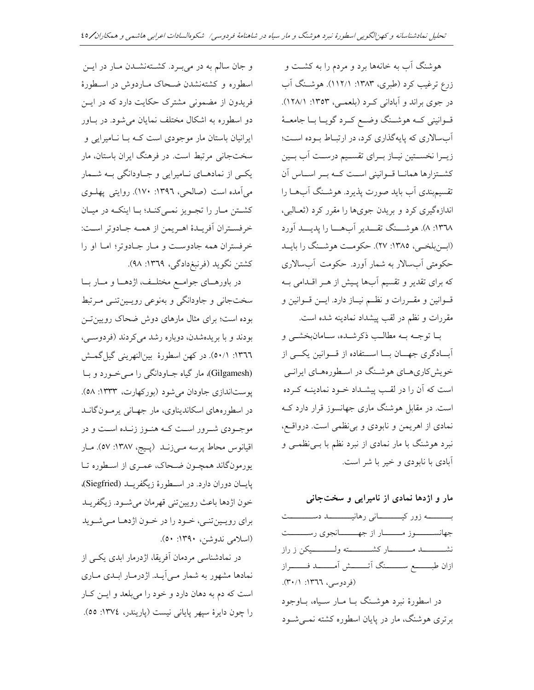هوشنگ آب به خانهها برد و مردم را به کشت و زرع ترغیب کرد (طبری، ۱۳۸۳: ۱۱۲/۱). هوشـنگ آب در جوی براند و آبادانی کرد (بلعمبی، ۱۳۵۳: ۱۲۸/۱). قـوانيني كــه هوشــنگ وضــع كــرد گويــا بــا جامعــهٔ آبسالاری که پایهگذاری کرد، در ارتباط بوده است؛ زيـرا نخسـتين نيـاز بـراي تقسـيم درسـت أب بـين كشتة ارها همانا قوانيني است كـه بـر اسـاس آن تقسیم بندی آب باید صورت پذیرد. هوشـنگ آبهــا را اندازهگیری کرد و بریدن جویها را مقرر کرد (ثعـالبی، ١٣٦٨: ٨). هوشـــنگ تقـــدير أبهــــا را يديــــد أورد (ابن بلخبی، ١٣٨٥: ٢٧). حکومت هوشنگ را بایـد حکومتی آبسالار به شمار آورد. حکومت آبسالاری که برای تقدیر و تقسیم آبها پـیش از هـر اقـدامی بـه قـوانين و مقـررات و نظـم نيـاز دارد. ايــن قــوانين و مقررات و نظم در لقب پیشداد نمادینه شده است.

بــا توجــه بــه مطالــب ذكرشــده، ســامانبخشــي و آبادگری جهـان بــا اســتفاده از قــوانين يكــى از خویش کاریهای هوشنگ در اسطورههای ایرانمی است که آن را در لقب پیشـداد خـود نمادینــه کـرده است. در مقابل هوشنگ ماری جهانسوز قرار دارد ک نمادی از اهریمن و نابودی و بی نظمی است. درواقع، نبرد هوشنگ با مار نمادی از نبرد نظم با بـیفظمـی و آبادی با نابودی و خیر با شر است.

مار و اژدها نمادی از نامیرایی و سختجانی

بــــــــــه زور كيــــــــــانى رهانيـــــــــــــد دســـــــــت جهانســــــــوز مــــــــار از جهــــــــانجوي رســــــــت ازان طبــــــــم ســــــــنگ آتــــــــش آمــــــــــد فـــــــــراز (فردوسی، ١٣٦٦: ٣٠/١). در اسطورهٔ نبرد هوشـنگ بــا مــار ســياه، بــاوجود برتری هوشنگ، مار در پایان اسطوره کشته نمـی شـود

و جان سالم به در میبرد. کشتهنشدن مار در این اسطوره و کشتهنشدن ضحاک مـاردوش در اسـطورهٔ فریدون از مضمونی مشترک حکایت دارد که در ایـن دو اسطوره به اشکال مختلف نمایان می شود. در باور ایرانیان باستان مار موجودی است کـه بــا نــامیرایی و سختجانی مرتبط است. در فرهنگ ایران باستان، مار یکسی از نمادهـای نــامیرایی و جــاودانگی بــه شــمار مي آمده است (صالحي، ١٣٩٦: ١٧٠). روايتي يهلـوي كشتن مار را تجويز نمى كنـد؛ بـا اينكـه در ميـان خرفسـتران أفريـدة اهـريمن از همـه جـادوتر اسـت: خرفستران همه جادوست و مبار جبادوتر؛ امبا او را کشتن نگوید (فرنبغدادگی، ۱۳٦۹: ۹۸).

در باورهـاي جوامـع مختلـف، اژدهـا و مـار بـا سختجانی و جاودانگی و بهنوعی رویسینتنی مرتبط بوده است؛ برای مثال مارهای دوش ضحاک رویین تـن بودند و با بریدهشدن، دوباره رشد میکردند (فردوسی، ١٣٦٦: ٥٠/١). در كهن اسطورة بينالنهريني گيل گمش (Gilgamesh)، مار گیاه جـاودانگی را مـی خـورد و بـا یوستاندازی جاودان می شود (بورکهارت، ۱۳۳۳: ۵۸). در اسطورههای اسکاندیناوی، مار جهـانی پرمـون گانــد موجـودي شـرور اسـت كـه هنـوز زنـده اسـت و در اقيانوس محاط پرسه مـيزنــد (پـيج، ١٣٨٧: ٥٧). مـار یورمونگاند همچـون ضـحاک، عمـری از اسـطوره تـا پایان دوران دارد. در اسطورهٔ زیگفریـد (Siegfried)، خون اژدها باعث رويين تني قهرمان مي شـود. زيگفريـد برای رویینتنی، خود را در خون اژدها میشوید (اسلامی ندوشن، ۱۳۹۰: ۵۰).

در نمادشناسی مردمان آفریقا، اژدرمار ابدی یکسی از نمادها مشهور به شمار مـی]یـد. اژدرمـار ابـدی مـاری است که دم به دهان دارد و خود را می بلعد و ایــن کــار را چون دايرهٔ سپهر پاياني نيست (پاريندر، ١٣٧٤: ٥٥).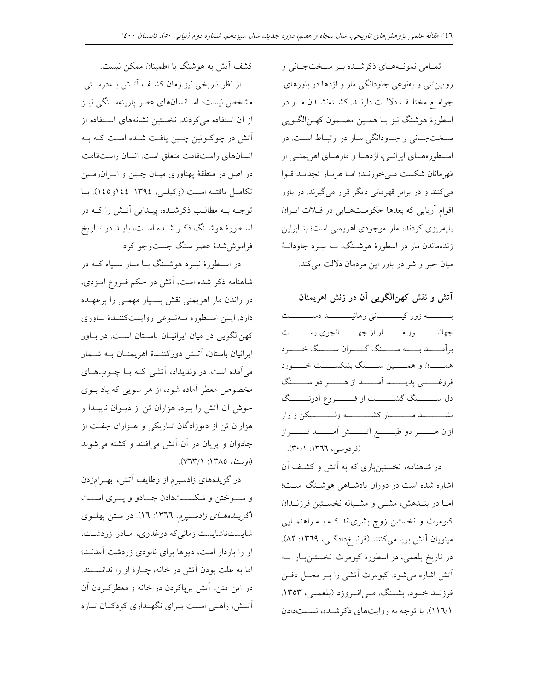تمـامي نمونـههـاي ذكرشـده بـر سـختجـاني و رویین تنی و بهنوعی جاودانگی مار و اژدها در باورهای جوامع مختلف دلالت دارنـد. كشـتهنشـدن مـار در اسطورۂ ہوشنگ نیز بــا ہمــین مضــمون کهــن|لگــویی سختجاني و جاودانگي مار در ارتباط است. در اسطورههـای ایرانــی، اژدهــا و مارهــای اهریمنــی از قهرمانان شكست مي خورنـد؛ امـا هربـار تجديـد قـوا مي کنند و در برابر قهرماني ديگر قرار مي گيرند. در باور اقوام آریایی که بعدها حکومتهایی در فلات ایران پایهریزی کردند، مار موجودی اهریمنی است؛ بنـابراین زندهماندن مار در اسطورهٔ هوشـنگ، بــه نبــرد جاودانــهٔ میان خیر و شر در باور این مردمان دلالت می کند.

آتش و نقش کهن الگویی آن در زنش اهریمنان بــــــــــه زور كيــــــــــانى رهانيـــــــــــــد دســـــــــت جهانســـــــوز مـــــــار از جهـــــــانجوي رســـــــت برأمــــد بـــــه ســــنگ گــــران ســــنگ خــــرد همــــان و همـــــين ســـــنگ بشكســــت خـــــورد فروغــــــي پديـــــــد اَمـــــــد از هــــــــر دو ســـــــنگ دل ســـــــنگ گشــــــــت از فــــــــروغ آذرنـــــــگ ازان هــــــــــر دو طبــــــــــم آتـــــــــش آمـــــــــــد فـــــــــراز (فردوسی، ١٣٦٦: ٣٠/١).

در شاهنامه، نخستینباری که به آتش و کشف آن اشاره شده است در دوران یادشاهی هوشنگ است؛ امــا در بنــدهش، مشــي و مشــيانه نخســتين فرزنــدان کیومرث و نخستین زوج بشری|ند ک4 بـه راهنمـایی مینویان آتش برپا میکنند (فرنبخدادگی، ۱۳٦۹: ۸۲). در تاريخ بلعمي، در اسطورهٔ کيومرث نخستين بار بـه آتش اشاره می شود. کیومرث آتشی را بـر محـل دفـن فرزنــد خــود، بشــنگ، مــي|فــروزد (بلعمــي، ١٣٥٣: (١١٦/١). با توجه به روايتهاي ذكر شده، نسبتدادن

کشف آتش به هوشنگ با اطمینان ممکن نیست. از نظر تاریخی نیز زمان کشف آتش بهدرستی مشخص نیست؛ اما انسانهای عصر یارینهسـنگی نیـز از آن استفاده می کردند. نخستین نشانههای استفاده از آتش در چوکـوتین چـین یافـت شـده اسـت کـه بـه انسانهای راستقامت متعلق است. انسان راستقامت در اصل در منطقهٔ پهناوری میـان چــین و ایــرانزمــین تكامل يافتــه اسـت (وكيلـي، ١٣٩٤: ١٤٤أو١٤٥). بــا توجـه بـه مطالـب ذكرشـده، پيـدايي اَتـش را كـه در اسطورهٔ هوشـنگ ذکـر شـده اسـت، بايـد در تـاريخ فراموش شدهٔ عصر سنگ جستوجو کرد.

در اسـطورهٔ نبــرد هوشــنگ بــا مــار ســياه كــه در شاهنامه ذکر شده است، آتش در حکم فـروغ ایــزدی، در راندن مار اهریمنی نقش بسـیار مهمـی را برعهـده دارد. ایــن اســطوره بــهنــوعی روایــتکننــدهٔ بــاوری کهن|لگویی در میان ایرانیـان باسـتان اسـت. در بـاور ايرانيان باستان، آتـش دوركننــدهٔ اهريمنــان بــه شــمار میآمده است. در وندیداد، آتشی کـه بـا چــوبهــای مخصوص معطر آماده شود، از هر سویی که باد بــوی خوش آن آتش را ببرد، هزاران تن از دیـوان ناپیـدا و هزاران تن از دیوزادگان تاریکی و هـزاران جفـت از جادوان و پریان در آن آتش میافتند و کشته می شوند (*اوستا*، ١٣٨٥: ٧٦٣/١).

در گزیدههای زادسپرم از وظایف آتش، بهـرامزدن و سوختن و شکســتدادن جــادو و پــری اســت (گزیبده صای زادستیرم، ١٣٦٦: ١٦). در متن پهلوی شایستناشایست زمانی که دوغدوی، مادر زردشت، او را باردار است، دیوها برای نابودی زردشت آمدنـد؛ اما به علت بودن آتش در خانه، چـارهٔ او را ندانسـتند. در این متن، آتش برپاکردن در خانه و معطرک ردن آن آتـش، راهـی اسـت بـرای نگهـداری کودکـان تـازه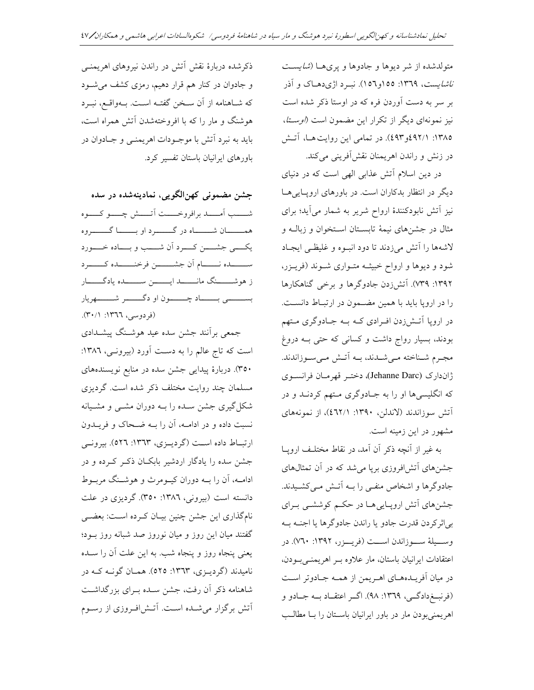متولدشده از شر دیوها و جادوها و پریها (*شایست ناشایست*، ۱۳٦۹: ۱۵۵و۱۵۲). نبــرد اژیدهــاک و آذر بر سر به دست آوردن فره که در اوستا ذکر شده است نیز نمونهای دیگر از تکرار این مضمون است (*اوستا*، ١٣٨٥: ٤٩٢١ر٤٩٣). در تمامي اين روايت هـا، آتش در زنش و راندن اهريمنان نقش آفريني مي كند.

در دین اسلام آتش عذابی الهی است که در دنیای دیگر در انتظار بدکاران است. در باورهای اروپایی ها نیز آتش نابودکنندهٔ ارواح شریر به شمار میآید؛ برای مثال در جشنهای نیمهٔ تابستان استخوان و زبالـه و لاشهها را آتش میزدند تا دود انبوه و غلیظی ایجاد شود و دیوها و ارواح خبیثـه متـواری شـوند (فریـزر، ۱۳۹۲: ۷۳۹). آتش;ردن جادوگرها و برخی گناهکارها را در اروپا باید با همین مضمون در ارتباط دانست. در اروپا آتـش(دن افـرادي کـه بـه جـادوگري مـتهم بودند، بسیار رواج داشت و کسانی که حتی بـه دروغ مجـرم شـناخته مـىشـدند، بـه أتـش مـىسـوزاندند. ژاندارک (Jehanne Darc)، دختـر قهرمـان فرانسـوي که انگلیسیها او را به جـادوگری مـتهم کردنــد و در آتش سوزاندند (لاندلن، ۱۳۹۰: ٤٦٢/١)، از نمونههای مشهور در این زمینه است.

به غیر از آنچه ذکر آن آمد، در نقاط مختلف اروپـا جشنهای آتشافروزی برپا می شد که در آن تمثالهای جادوگرها و اشخاص منفـي را بــه اَتــش مـيکشـيدند. جشنهای آتش اروپاییها در حکم کوششـی بـرای بي¦ثركردن قدرت جادو يا راندن جادوگرها يا اجنــه بــه وســيلة ســوزاندن اســت (فريــزر، ١٣٩٢: ٧٦٠). در اعتقادات ايرانيان باستان، مار علاوه بـر اهريمنـىبودن، در میان آفریـدههـای اهـریمن از همـه جـادوتر اسـت (فرنب خدادگے، ١٣٦٩: ٩٨). اگر اعتقباد بـه جبادو و اهر يمني بو دن مار در باور ايرانيان باسـتان را بـا مطالـب

ذکرشده دربارهٔ نقش آتش در راندن نیروهای اهریمنـی و جادوان در کنار هم قرار دهیم، رمزی کشف می شود كه شـاهنامه از آن سـخن گفتـه اسـت. بــهواقــع، نبــرد هوشنگ و مار را که با افروختهشدن آتش همراه است، بايد به نبرد آتش با موجـودات اهريمنــي و جــادوان در باورهای ایرانیان باستان تفسیر کرد.

جشن مضموني كهن|لگويي، نمادينهشده در سده شــــب أمـــــد برافروخـــــت أتـــــش چــــو كــــوه همـــــــان شــــــــاه در گـــــــــر د او بــــــــا گـــــــــروه يكسى جشسن كسرد أن شسب و بساده خمسورد ســــــــــــده نــــــــــــام اّن جشــــــــــن فرخنــــــــــده كـــــــــرد ز هوشـــــــنگ مانـــــــــــد ايــــــــــن ســـــــــده يادگــــــــار بســـــــــى بــــــــاد چــــــــون او دگــــــــــر شـــــــــهريار (فردوسی، ١٣٦٦: ٣٠/١).

جمعی برآنند جشن سده عید هوشـنگ پیشـدادی است که تاج عالم را به دست آورد (بیرونی، ۱۳۸٦: ۳۵۰). دربارهٔ پیدایی جشن سده در منابع نویسندههای مسلمان چند روایت مختلف ذکر شده است. گردیزی شکل گیری جشن سـده را بــه دوران مشــی و مشــیانه نسبت داده و در ادامـه، آن را بـه ضـحاک و فریــدون ارتباط داده است (گرديـزي، ١٣٦٣: ٥٢٦). بيرونـي جشن سده را یادگار اردشیر بابکـان ذکـر کـرده و در ادامــه، آن را بــه دوران كيــومرث و هوشــنگ مربــوط دانسته است (بیرونی، ۱۳۸٦: ۳۵۰). گردیزی در علت نامگذاری این جشن چنین بیـان کـرده اسـت: بعضـی گفتند میان این روز و میان نوروز صد شبانه روز بود؛ یعنی پنجاه روز و پنجاه شب. به این علت آن را سـده ناميدند (گرديــزي، ١٣٦٣: ٥٢٥). همــان گونــه كــه در شاهنامه ذکر آن رفت، جشن سـده بـرای بزرگداشـت .<br>آتش برگزار میشـده اسـت. آتـش|فـروزی از رسـوم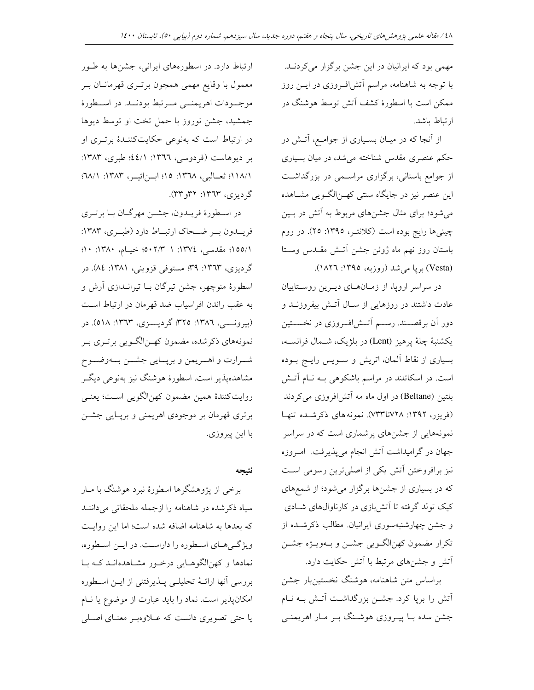مهمی بود که ایرانیان در این جشن برگزار میکردنـد. با توجه به شاهنامه، مراسم آتشاف وزی در ایــن روز ممکن است با اسطورهٔ کشف اّتش توسط هوشنگ در ارتباط باشد.

از آنجا که در میـان بسـیاری از جوامـع، آتـش در حکم عنصری مقدس شناخته میشد، در میان بسیاری از جوامع باستانی، برگزاری مراسـمی در بزرگداشـت این عنصر نیز در جایگاه سنتی کهـن|لگــویی مشــاهده میشود؛ برای مثال جشنهای مربوط به آتش در بـین چینیها رایج بوده است (کلانتـر، ١٣٩٥: ٢٥). در روم باستان روز نهم ماه ژوئن جشن آتـش مقـدس وسـتا (Vesta) بریا میشد (روزبه، ۱۳۹٥: ۱۸۲٦).

در سراسر اروپا، از زمـانهـای ديـرين روسـتاييان عادت داشتند در روزهایی از سال آتـش بیفروزنــد و دور اَن برقصــند. رســم اَتــش|فــروزی در نخســـتین يكشنبهٔ چلهٔ پرهيز (Lent) در بلژيک، شـمال فرانســه، بسیاری از نقاط آلمان، اتریش و سویس رایج بوده است. در اسکاتلند در مراسم باشکوهی بـه نـام آتـش بلتین (Beltane) در اول ماه مه آتشافروزی میکردند (فریزر، ۱۳۹۲: ۷۳۸تا۷۳۳). نمونههای ذکرشـده تنهـا نمونههایی از جشنهای پرشماری است که در سراسر جهان در گرامیداشت آتش انجام میپذیرفت. امـروزه نیز برافروختن آتش یکی از اصلی ترین رسومی است که در بسیاری از جشنها برگزار میشود؛ از شمعهای کیک تولد گرفته تا آتشبازی در کارناوالهای شـادی و جشن چهارشنبهسوری ایرانیان. مطالب ذکرشـده از تکرار مضمون کهنالگـویی جشـن و بـهویـژه جشـن آتش و جشنهای مرتبط با آتش حکایت دارد.

براساس متن شاهنامه، هوشنگ نخستینبار جشن آتش را برپا کرد. جشـن بزرگداشـت آتـش بـه نـام جشن سده بــا پیــروزی هوشــنگ بــر مــار اهریمنــی

ارتباط دارد. در اسطورههای ایرانی، جشنها به طور معمول با وقایع مهمی همچون برتـری قهرمانــان بــر موجـــودات اهريمنـــي مـــرتبط بودنـــد. در اســـطورهٔ جمشید، جشن نوروز با حمل تخت او توسط دیوها در ارتباط است که بهنوعی حکایتکننـدهٔ برتـری او بر ديوهاست (فردوسي، ١٣٦٦: ٤٤/١)؛ طبري، ١٣٨٣: ١١٨/١؛ ثعــالبي، ١٣٦٨: ١٥؛ ابــن|ثيــر، ١٣٨٣: ١٨/١: گردیزی، ۱۳٦۳: ۳۲و۳۳).

در اسطورهٔ فریـدون، جشـن مهرگـان بـا برتـري فريــدون بــر ضــحاك ارتبــاط دارد (طبــرى، ١٣٨٣: ٠١٥٥/١؛ مقدسی، ١٣٧٤: ١-٠١٣/٣-٥٠؛ خيسام، ١٣٨٠: ١٠؛ گردیزی، ۱۳٦۳: ۳۹؛ مستوفی قزوینی، ۱۳۸۱: ۸٤). در اسطورهٔ منوچهر، جشن تیرگان بــا تیرانــدازی آرش و به عقب راندن افراسیاب ضد قهرمان در ارتباط است (بيرونسي، ١٣٨٦: ٣٢٥؛ گرديسزي، ١٣٦٣: ٥١٨). در نمونههاي ذكرشده، مضمون كهـنالگـويي برتـري بـر شـرارت و اهــريمن و برپــايي جشــن بــهوضــوح مشاهدهیذیر است. اسطورهٔ هوشنگ نیز بهنوعی دیگـر روايت كنندهٔ همين مضمون كهن الگويي است؛ يعنـي برتری قهرمان بر موجودی اهریمنی و برپـایی جشــن با اين پيروزي.

نتيجه

برخي از پژوهشگرها اسطورهٔ نبرد هوشنگ با مــار سیاه ذکرشده در شاهنامه را ازجمله ملحقاتی می داننـد که بعدها به شاهنامه اضافه شده است؛ اما این روایت ویژگی های اسطوره را داراست. در ایـن اسـطوره، نمادها و کهنالگوهـايي درخـور مشـاهدهانـد کـه بـا بررسي أنها ارائــهٔ تحليلــي پـــذيرفتني از ايــن اســطوره امکان پذیر است. نماد را باید عبارت از موضوع یا نــام یا حتی تصویری دانست که عــلاوهبـر معنـای اصـلی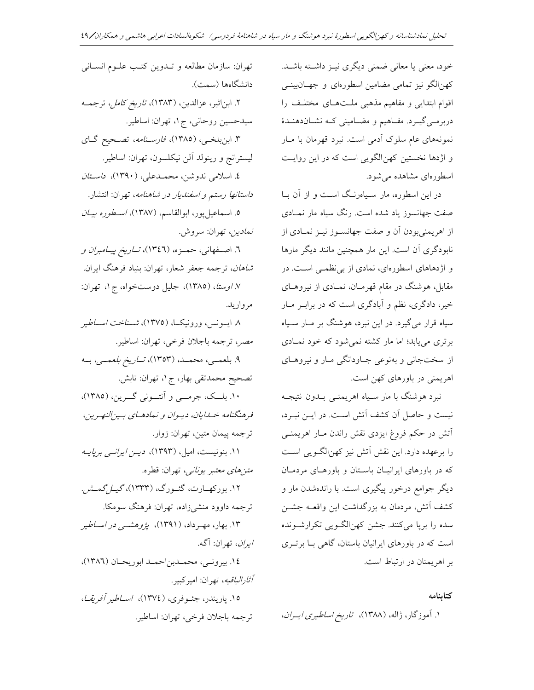خود، معنى يا معانى ضمنى ديگرى نيـز داشـته باشـد. کهنالگو نیز تمامی مضامین اسطورهای و جهـانبینــی اقوام ابتدایی و مفاهیم مذهبی ملـتهـای مختلـف را دربرمـي گيـرد. مفــاهيم و مضــاميني کــه نشــاندهنــدهٔ نمونههای عام سلوک آدمی است. نبرد قهرمان با مـار و اژدها نخستین کهن|لگویی است که در این روایـت اسطورهای مشاهده می شود.

در این اسطوره، مار سـیاهرنـگ اسـت و از آن بــا صفت جهانسوز یاد شده است. رنگ سیاه مار نمــادی از اهریمنیبودن آن و صفت جهانســوز نیــز نمــادی از نابودگری آن است. این مار همچنین مانند دیگر مارها و اژدهاهای اسطورهای، نمادی از بی نظمــی اسـت. در مقابل، هوشنگ در مقام قهرمـان، نمـادی از نیروهـای خیر، دادگری، نظم و آبادگری است که در برابـر مـار سیاه قرار میگیرد. در این نبرد، هوشنگ بر مــار ســیاه برتری می یابد؛ اما مار کشته نمی شود که خود نمـادی از سختجانی و بهنوعی جـاودانگی مـار و نیروهـای اهریمنی در باورهای کهن است.

نبرد هوشنگ با مار سـياه اهريمنــي بــدون نتيجــه نیست و حاصل آن کشف آتش است. در ایــن نبــرد، آتش در حکم فروغ ایزدی نقش راندن مـار اهریمنـی را برعهده دارد. این نقش آتش نیز کهنالگــویی اســت که در باورهای ایرانیـان باسـتان و باورهـای مردمـان دیگر جوامع درخور پیگیری است. با راندهشدن مار و کشف آتش، مردمان به بزرگداشت این واقعــه جشــن سده را بریا میکنند. جشن کهنالگـویی تکرارشـونده است که در باورهای ایرانیان باستان، گاهی بــا برتــری بر اهریمنان در ارتباط است.

# كتاىنامه

۱. آموزگار، ژاله، (۱۳۸۸)، ت*اریخ اساطیری ایـران*،

تهران: سازمان مطالعه و تـدوين كتـب علـوم انسـاني دانشگاهها (سمت). ٢. ابن اثير، عزالدين، (١٣٨٣)، ت*اريخ كامل*، ترجمـه سيدحسين روحاني، ج ١، تهران: اساطير. ۳. ابن بلخبي، (١٣٨٥)، ف*ارسـنامه*، تصـحيح گـاي ليسترانج و رينولد آلن نيكلسون، تهران: اساطير. ٤. اسلامی ندوشن، محمـدعلی، (١٣٩٠)، د*اسـتان داستانها رستم و اسفنديار در شاهنامه*، تهران: انتشار. ۰. اسماعیل پور، ابوالقاسم، (۱۳۸۷)، *اسطوره بیـان* نم*ادين*، تهران: سروش. ٦. اصـفهاني، حمـزه، (١٣٤٦)، *تــاريخ پيــامبران و شاهان*، ترجمه جعفر شعار، تهران: بنیاد فرهنگ ایران. ٧ / اوستا، (١٣٨٥)، جليل دوستخواه، ج١، تهران: مرواريد. ۸ ایسونس، ورونیک)، (۱۳۷۵)، *شناخت اساطی*ر مصر، ترجمه باجلان فرخي، تهران: اساطير. ۹. بلعمسی، محمله، (۱۳۵۳)، *تــاريخ بلعمــي*، بــه تصحیح محمدتقی بھار، ج ۱، تھران: تابش. ۱۰. بلــک، جرمـــي و آنتـــوني گـــرين، (١٣٨٥)، فرهنگنامه خسارایان، دیوان و نمادهای بین النهرین، ترجمه پيمان متين، تهران: زوار. ١١. بنونيست، اميل، (١٣٩٣)، دين *ايرانسي برپاي*ه *متنهای معتبر یونانی،* تهران: قطره. ۱۲. بورکهــارت، گئــورگ، (۱۳۳۳)، *گیــل گمــش.* ترجمه داوود منشىزاده، تهران: فرهنگ سومكا. ۱۳. بهار، مهـرداد، (۱۳۹۱)، *پژوهشــی در اســاطی*ر *ايران*، تهران: آگه. ١٤. بيرونـي، محمـدبناحمـد ابوريحـان (١٣٨٦)، *آثارالباقيه*، تهران: اميركبير. ۱۵. پاریندر، جئــوفری، (۱۳۷٤)، *اســاطیر آفریقــا*،

ترجمه باجلان فرخي، تهران: اساطير.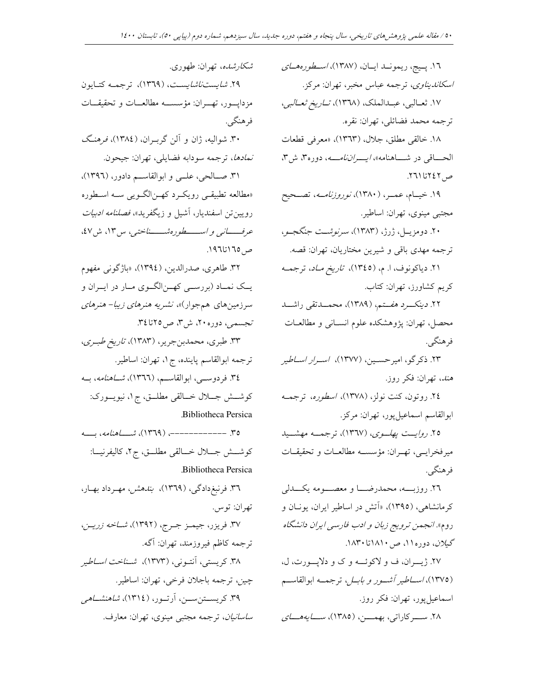١٦. پـيج، ريمونــد ايــان، (١٣٨٧)، *اســطورههــاي شكارشده*، تهران: طهوري. *اسكانديناوي،* ترجمه عباس مخبر، تهران: مركز. ۱۷. ثعــالبي، عبــدالملک، (۱۳۶۸)، *تــاريخ ثعــالبي*، ترجمه محمد فضائلي، تهران: نقره. ١٨. خالقي مطلق، جلال، (١٣٦٣)، «معرفي قطعات الحــــاقي در شــــاهنامه»، *ايــــراننامــــه*، دوره۳، ش۳، ص ٢٤٢ تا ٢٦١. ۱۹. خیــام، عـمــر، (۱۳۸۰)، *نوروزنامــه*، تصــحیح مجتبي مينوي، تهران: اساطير. ۲۰. دومزیــل، ژرژ، (۱۳۸۳)، *سرنوشــت جنگجــو*، ترجمه مهدي باقي و شيرين مختاريان، تهران: قصه. ۲۱. دیاکونوف، ا. م، (۱۳٤٥)، ت*اریخ مـاد*، ترجمــه كريم كشاورز، تهران: كتاب. ۲۲*. دینکـــرد هفـــتم، (*۱۳۸۹)، محمـــدتقى راشـــد محصل، تهران: پژوهشکده علوم انســانی و مطالعــات فرهنگمي. ۲۳. ذکر گو، امیرحسـین، (۱۳۷۷)، ا*سـرار اســاطی*ر هند، تهران: فكر روز. ٢٤. روتون، كنت نولز، (١٣٧٨)، *اسطوره*، ترجمــه ابوالقاسم اسماعيلپور، تهران: مركز. ۲۵*. روايــت پهلــوى*، (۱۳٦۷)، ترجمــه مهشــيد میرفخرایــی، تهــران: مؤسســه مطالعــات و تحقیقــات فرهنگي. ٢٦. روزبـــــه، محمدرضــــــا و معصـــــومه يكـــــدلى کرمانشاهی، (۱۳۹۵)، «اَتش در اساطیر ایران، یونــان و روم». *انجمن ترويج زبان و ادب فارسي ايران دانشگاه* گیلا*ن*، دوره۱۱، ص۱۸۱۰تا۱۸۳۰. ٢٧. ژيــران، ف و لاكوئـــه و ك و دلاپـــورت، ل، (۱۳۷۵)، *اســـاطير آشـــور و بابــل*، ترجمـــه ابوالقاســـم اسماعيلپور، تهران: فكر روز.

۲۸. ســــرکاراتي، بهمــــن، (۱۳۸۵)، *ســــايههــــاي* 

٢٩. *شايستناشايست*، (١٣٦٩)، ترجمـه كتـايون مزدايسور، تهران: مؤسسه مطالعــات و تحقيقــات فرهنگے ِ. ۳۰. شوالیه، ژان و آلن گربـران، (١٣٨٤)، فرهنگ نمادها، ترجمه سودابه فضايلي، تهران: جيحون. ۳۱. صـالحي، علــي و ابوالقاســم دادور، (۱۳۹۲)، «مطالعه تطبیقـی رویکـرد کهـن|لگـویی سـه اسـطوره رویین تن اسفندیار، آشیل و زیگفرید»، *فصلنامه ادبیات* عرف *تانی و است طوره شستاختی،* س۱۳، ش۷، ص ١٩٦٥ تا١٩٦. ۳۲. طاهري، صدرالدين، (١٣٩٤)، «باژگوني مفهوم

یــک نمــاد (بررســي کهــن|لگــوي مــار در ايــران و سرزمینهای همجوار)»، *نشریه هنرهای زیبا- هنرهای* تجسمی، دوره ۲۰، ش۳، ص۲۵تا۳٤.

٣٣. طبري، محمدبنجرير، (١٣٨٣)، ت*اريخ طبري*، ترجمه ابوالقاسم پاينده، ج ۱، تهران: اساطير. ٣٤. فردوســي، ابوالقاســم، (١٣٦٦)، *شــاهنامه*، بــه كوشـــش جـــلال خـــالقى مطلـــق، ج١، نيويـــورک: Bibliotheca Persica

٣٥. -------------. (١٣٦٩)، شــــاهن*امه*، بـــه كوشـــش جـــلال خـــالقى مطلـــق، ج٢، كاليفرنيـــا: .Bibliotheca Persica ۳٦. فرنبغدادگی، (۱۳٦۹)، *بندهش، مهـر*داد بهـار، تهران: توس.

٣٧. فريزر، جيمــز جــرج، (١٣٩٢)، *شــاخه زريــن*، ترجمه كاظم فيروزمند، تهران: آگه. ٣٨. كريستي، آنتـوني، (١٣٧٣)، شـن*اخت اسـاطير* چين، ترجمه باجلان فرخي، تهران: اساطير. ۳۹. کریســتنســن، اَرتــور، (١٣١٤)، *شاهنشــاهی ساسانیان*، ترجمه مجتبی مینوی، تهران: معارف.